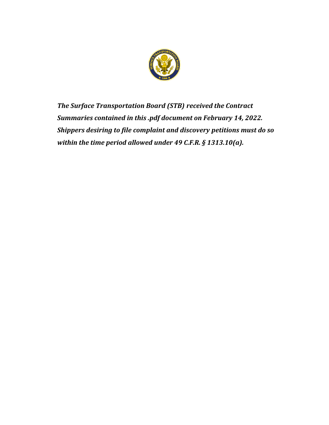

*The Surface Transportation Board (STB) received the Contract Summaries contained in this .pdf document on February 14, 2022. Shippers desiring to file complaint and discovery petitions must do so within the time period allowed under 49 C.F.R. § 1313.10(a).*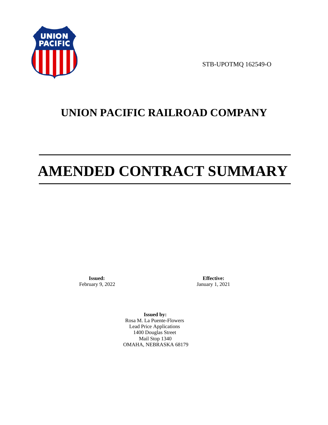

STB-UPOTMQ 162549-O

# **UNION PACIFIC RAILROAD COMPANY**

# **AMENDED CONTRACT SUMMARY**

**Issued:**  February 9, 2022

**Effective:** January 1, 2021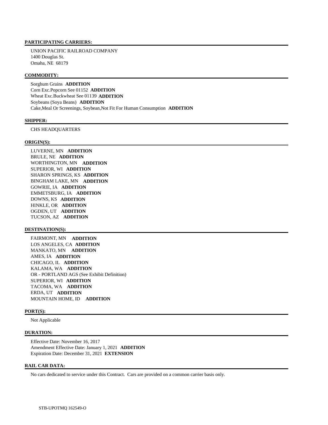UNION PACIFIC RAILROAD COMPANY 1400 Douglas St. Omaha, NE 68179

### **COMMODITY:**

 Sorghum Grains **ADDITION**  Corn Exc.Popcorn See 01152 **ADDITION**  Wheat Exc.Buckwheat See 01139 **ADDITION**  Soybeans (Soya Beans) **ADDITION**  Cake,Meal Or Screenings, Soybean,Not Fit For Human Consumption **ADDITION** 

### **SHIPPER:**

CHS HEADQUARTERS

#### **ORIGIN(S):**

 LUVERNE, MN **ADDITION**  BRULE, NE **ADDITION**  WORTHINGTON, MN **ADDITION**  SUPERIOR, WI **ADDITION**  SHARON SPRINGS, KS **ADDITION**  BINGHAM LAKE, MN **ADDITION**  GOWRIE, IA **ADDITION**  EMMETSBURG, IA **ADDITION**  DOWNS, KS **ADDITION**  HINKLE, OR **ADDITION**  OGDEN, UT **ADDITION**  TUCSON, AZ **ADDITION** 

### **DESTINATION(S):**

 FAIRMONT, MN **ADDITION**  LOS ANGELES, CA **ADDITION**  MANKATO, MN **ADDITION**  AMES, IA **ADDITION**  CHICAGO, IL **ADDITION**  KALAMA, WA **ADDITION**  OR - PORTLAND AGS (See Exhibit Definition) SUPERIOR, WI **ADDITION**  TACOMA, WA **ADDITION**  ERDA, UT **ADDITION**  MOUNTAIN HOME, ID **ADDITION** 

### **PORT(S):**

Not Applicable

### **DURATION:**

 Effective Date: November 16, 2017 Amendment Effective Date: January 1, 2021 **ADDITION**  Expiration Date: December 31, 2021 **EXTENSION** 

# **RAIL CAR DATA:**

No cars dedicated to service under this Contract. Cars are provided on a common carrier basis only.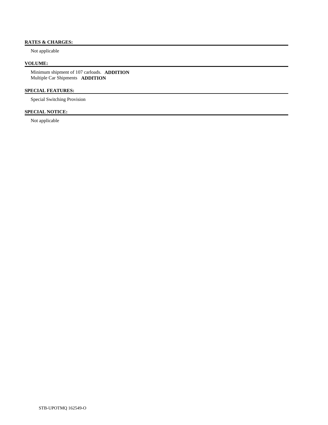# **RATES & CHARGES:**

Not applicable

# **VOLUME:**

 Minimum shipment of 107 carloads. **ADDITION**  Multiple Car Shipments **ADDITION** 

# **SPECIAL FEATURES:**

Special Switching Provision

# **SPECIAL NOTICE:**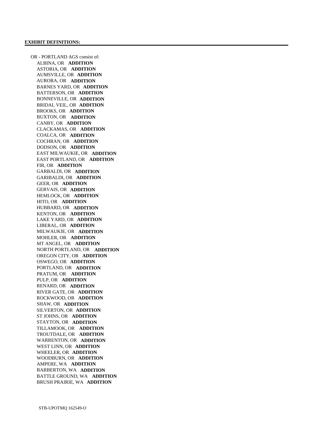OR - PORTLAND AGS consist of: ALBINA, OR **ADDITION**  ASTORIA, OR **ADDITION**  AUMSVILLE, OR **ADDITION**  AURORA, OR **ADDITION**  BARNES YARD, OR **ADDITION**  BATTERSON, OR **ADDITION**  BONNEVILLE, OR **ADDITION**  BRIDAL VEIL, OR **ADDITION**  BROOKS, OR **ADDITION**  BUXTON, OR **ADDITION**  CANBY, OR **ADDITION**  CLACKAMAS, OR **ADDITION**  COALCA, OR **ADDITION**  COCHRAN, OR **ADDITION**  DODSON, OR **ADDITION**  EAST MILWAUKIE, OR **ADDITION**  EAST PORTLAND, OR **ADDITION**  FIR, OR **ADDITION**  GARBALDI, OR **ADDITION**  GARIBALDI, OR **ADDITION**  GEER, OR **ADDITION**  GERVAIS, OR **ADDITION**  HEMLOCK, OR **ADDITION**  HITO, OR **ADDITION**  HUBBARD, OR **ADDITION**  KENTON, OR **ADDITION**  LAKE YARD, OR **ADDITION**  LIBERAL, OR **ADDITION**  MILWAUKIE, OR **ADDITION**  MOHLER, OR **ADDITION**  MT ANGEL, OR **ADDITION**  NORTH PORTLAND, OR **ADDITION**  OREGON CITY, OR **ADDITION**  OSWEGO, OR **ADDITION**  PORTLAND, OR **ADDITION**  PRATUM, OR **ADDITION**  PULP, OR **ADDITION**  RENARD, OR **ADDITION**  RIVER GATE, OR **ADDITION**  ROCKWOOD, OR **ADDITION**  SHAW, OR **ADDITION**  SILVERTON, OR **ADDITION**  ST JOHNS, OR **ADDITION**  STAYTON, OR **ADDITION**  TILLAMOOK, OR **ADDITION**  TROUTDALE, OR **ADDITION**  WARRENTON, OR **ADDITION**  WEST LINN, OR **ADDITION**  WHEELER, OR **ADDITION**  WOODBURN, OR **ADDITION**  AMPERE, WA **ADDITION**  BARBERTON, WA **ADDITION**  BATTLE GROUND, WA **ADDITION**  BRUSH PRAIRIE, WA **ADDITION**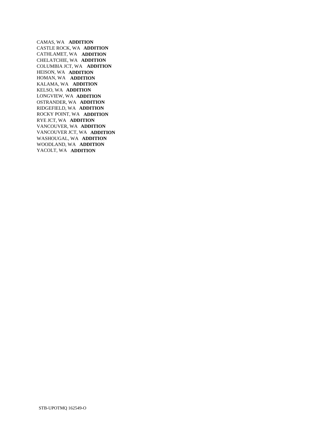CAMAS, WA **ADDITION**  CASTLE ROCK, WA **ADDITION**  CATHLAMET, WA **ADDITION**  CHELATCHIE, WA **ADDITION**  COLUMBIA JCT, WA **ADDITION**  HEISON, WA **ADDITION**  HOMAN, WA **ADDITION**  KALAMA, WA **ADDITION**  KELSO, WA **ADDITION**  LONGVIEW, WA **ADDITION**  OSTRANDER, WA **ADDITION**  RIDGEFIELD, WA **ADDITION**  ROCKY POINT, WA **ADDITION**  RYE JCT, WA **ADDITION**  VANCOUVER, WA **ADDITION**  VANCOUVER JCT, WA **ADDITION**  WASHOUGAL, WA **ADDITION**  WOODLAND, WA **ADDITION**  YACOLT, WA **ADDITION**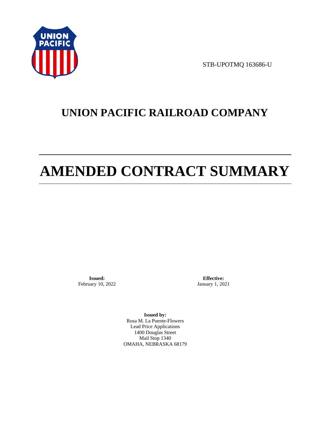

STB-UPOTMQ 163686-U

# **UNION PACIFIC RAILROAD COMPANY**

# **AMENDED CONTRACT SUMMARY**

**Issued:**  February 10, 2022

**Effective:** January 1, 2021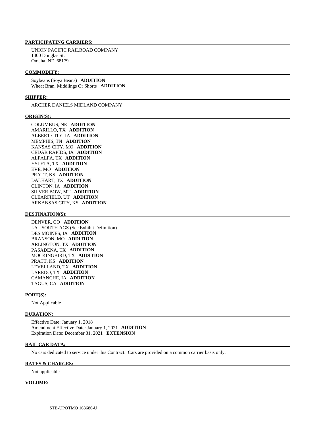UNION PACIFIC RAILROAD COMPANY 1400 Douglas St. Omaha, NE 68179

### **COMMODITY:**

 Soybeans (Soya Beans) **ADDITION**  Wheat Bran, Middlings Or Shorts **ADDITION** 

### **SHIPPER:**

ARCHER DANIELS MIDLAND COMPANY

### **ORIGIN(S):**

 COLUMBUS, NE **ADDITION**  AMARILLO, TX **ADDITION**  ALBERT CITY, IA **ADDITION**  MEMPHIS, TN **ADDITION**  KANSAS CITY, MO **ADDITION**  CEDAR RAPIDS, IA **ADDITION**  ALFALFA, TX **ADDITION**  YSLETA, TX **ADDITION**  EVE, MO **ADDITION**  PRATT, KS **ADDITION**  DALHART, TX **ADDITION**  CLINTON, IA **ADDITION**  SILVER BOW, MT **ADDITION**  CLEARFIELD, UT **ADDITION**  ARKANSAS CITY, KS **ADDITION** 

### **DESTINATION(S):**

 DENVER, CO **ADDITION**  LA - SOUTH AGS (See Exhibit Definition) DES MOINES, IA **ADDITION**  BRANSON, MO **ADDITION**  ARLINGTON, TX **ADDITION**  PASADENA, TX **ADDITION**  MOCKINGBIRD, TX **ADDITION**  PRATT, KS **ADDITION**  LEVELLAND, TX **ADDITION**  LAREDO, TX **ADDITION**  CAMANCHE, IA **ADDITION**  TAGUS, CA **ADDITION** 

#### **PORT(S):**

Not Applicable

#### **DURATION:**

 Effective Date: January 1, 2018 Amendment Effective Date: January 1, 2021 **ADDITION**  Expiration Date: December 31, 2021 **EXTENSION** 

### **RAIL CAR DATA:**

No cars dedicated to service under this Contract. Cars are provided on a common carrier basis only.

### **RATES & CHARGES:**

Not applicable

#### **VOLUME:**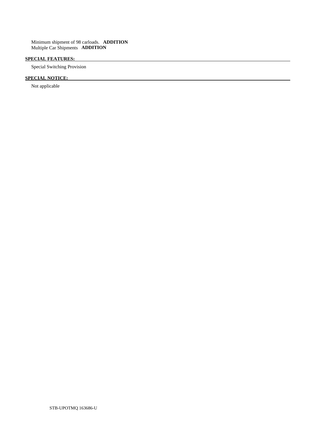Minimum shipment of 98 carloads. **ADDITION**  Multiple Car Shipments **ADDITION** 

# **SPECIAL FEATURES:**

Special Switching Provision

# **SPECIAL NOTICE:**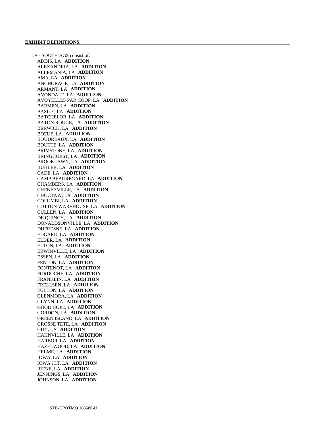LA - SOUTH AGS consist of: ADDIS, LA **ADDITION**  ALEXANDRIA, LA **ADDITION**  ALLEMANIA, LA **ADDITION**  AMA, LA **ADDITION**  ANCHORAGE, LA **ADDITION**  ARMANT, LA **ADDITION**  AVONDALE, LA **ADDITION**  AVOYELLES PAR COOP, LA **ADDITION**  BARMEN, LA **ADDITION**  BASILE, LA **ADDITION**  BATCHELOR, LA **ADDITION**  BATON ROUGE, LA **ADDITION**  BERWICK, LA **ADDITION**  BOEUF, LA **ADDITION**  BOUDREAUX, LA **ADDITION**  BOUTTE, LA **ADDITION**  BRIMSTONE, LA **ADDITION**  BRINGHURST, LA **ADDITION**  BROOKLAWN, LA **ADDITION**  BUHLER, LA **ADDITION**  CADE, LA **ADDITION**  CAMP BEAUREGARD, LA **ADDITION**  CHAMBERS, LA **ADDITION**  CHENEYVILLE, LA **ADDITION**  CHOCTAW, LA **ADDITION**  COLUMBI, LA **ADDITION**  COTTON WAREHOUSE, LA **ADDITION**  CULLEN, LA **ADDITION**  DE QUINCY, LA **ADDITION**  DONALDSONVILLE, LA **ADDITION**  DUFRESNE, LA **ADDITION**  EDGARD, LA **ADDITION**  ELDER, LA **ADDITION**  ELTON, LA **ADDITION**  ERWINVILLE, LA **ADDITION**  ESSEN, LA **ADDITION**  FENTON, LA **ADDITION**  FONTENOT, LA **ADDITION**  FORDOCHE, LA **ADDITION**  FRANKLIN, LA **ADDITION**  FRELLSEN, LA **ADDITION**  FULTON, LA **ADDITION**  GLENMORA, LA **ADDITION**  GLYNN, LA **ADDITION**  GOOD HOPE, LA **ADDITION**  GORDON, LA **ADDITION**  GREEN ISLAND, LA **ADDITION**  GROSSE TETE, LA **ADDITION**  GUY, LA **ADDITION**  HAHNVILLE, LA **ADDITION**  HARBOR, LA **ADDITION**  HAZELWOOD, LA **ADDITION**  HELME, LA **ADDITION**  IOWA, LA **ADDITION**  IOWA JCT, LA **ADDITION**  IRENE, LA **ADDITION**  JENNINGS, LA **ADDITION**  JOHNSON, LA **ADDITION**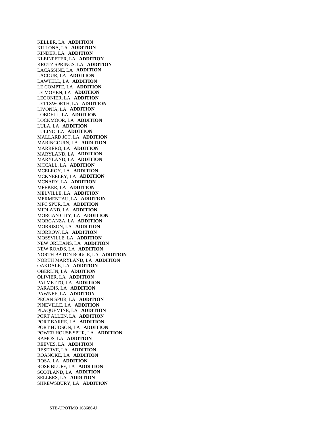KELLER, LA **ADDITION**  KILLONA, LA **ADDITION**  KINDER, LA **ADDITION**  KLEINPETER, LA **ADDITION**  KROTZ SPRINGS, LA **ADDITION**  LACASSINE, LA **ADDITION**  LACOUR, LA **ADDITION**  LAWTELL, LA **ADDITION**  LE COMPTE, LA **ADDITION**  LE MOYEN, LA **ADDITION**  LEGONIER, LA **ADDITION**  LETTSWORTH, LA **ADDITION**  LIVONIA, LA **ADDITION**  LOBDELL, LA **ADDITION**  LOCKMOOR, LA **ADDITION**  LULA, LA **ADDITION**  LULING, LA **ADDITION**  MALLARD JCT, LA **ADDITION**  MARINGOUIN, LA **ADDITION**  MARRERO, LA **ADDITION**  MARYLAND, LA **ADDITION**  MARYLAND, LA **ADDITION**  MCCALL, LA **ADDITION**  MCELROY, LA **ADDITION**  MCKNEELEY, LA **ADDITION**  MCNARY, LA **ADDITION**  MEEKER, LA **ADDITION**  MELVILLE, LA **ADDITION**  MERMENTAU, LA **ADDITION**  MFC SPUR, LA **ADDITION**  MIDLAND, LA **ADDITION**  MORGAN CITY, LA **ADDITION**  MORGANZA, LA **ADDITION**  MORRISON, LA **ADDITION**  MORROW, LA **ADDITION**  MOSSVILLE, LA **ADDITION**  NEW ORLEANS, LA **ADDITION**  NEW ROADS, LA **ADDITION**  NORTH BATON ROUGE, LA **ADDITION**  NORTH MARYLAND, LA **ADDITION**  OAKDALE, LA **ADDITION**  OBERLIN, LA **ADDITION**  OLIVIER, LA **ADDITION**  PALMETTO, LA **ADDITION**  PARADIS, LA **ADDITION**  PAWNEE, LA **ADDITION**  PECAN SPUR, LA **ADDITION**  PINEVILLE, LA **ADDITION**  PLAQUEMINE, LA **ADDITION**  PORT ALLEN, LA **ADDITION**  PORT BARRE, LA **ADDITION**  PORT HUDSON, LA **ADDITION**  POWER HOUSE SPUR, LA **ADDITION**  RAMOS, LA **ADDITION**  REEVES, LA **ADDITION**  RESERVE, LA **ADDITION**  ROANOKE, LA **ADDITION**  ROSA, LA **ADDITION**  ROSE BLUFF, LA **ADDITION**  SCOTLAND, LA **ADDITION**  SELLERS, LA **ADDITION**  SHREWSBURY, LA **ADDITION**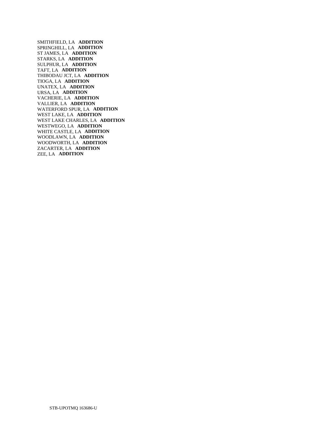SMITHFIELD, LA **ADDITION**  SPRINGHILL, LA **ADDITION**  ST JAMES, LA **ADDITION**  STARKS, LA **ADDITION**  SULPHUR, LA **ADDITION**  TAFT, LA **ADDITION**  THIBODAU JCT, LA **ADDITION**  TIOGA, LA **ADDITION**  UNATEX, LA **ADDITION**  URSA, LA **ADDITION**  VACHERIE, LA **ADDITION**  VALLIER, LA **ADDITION**  WATERFORD SPUR, LA **ADDITION**  WEST LAKE, LA **ADDITION**  WEST LAKE CHARLES, LA **ADDITION**  WESTWEGO, LA **ADDITION**  WHITE CASTLE, LA **ADDITION**  WOODLAWN, LA **ADDITION**  WOODWORTH, LA **ADDITION**  ZACARTER, LA **ADDITION**  ZEE, LA **ADDITION**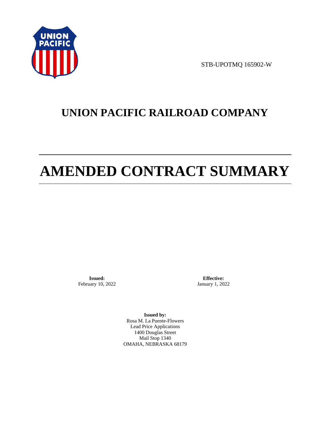

STB-UPOTMQ 165902-W

# **UNION PACIFIC RAILROAD COMPANY**

# **AMENDED CONTRACT SUMMARY**

**Issued:**  February 10, 2022

**Effective:** January 1, 2022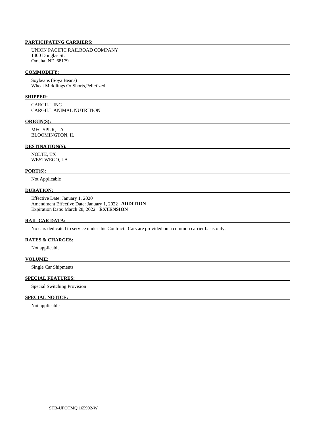UNION PACIFIC RAILROAD COMPANY 1400 Douglas St. Omaha, NE 68179

### **COMMODITY:**

 Soybeans (Soya Beans) Wheat Middlings Or Shorts,Pelletized

### **SHIPPER:**

 CARGILL INC CARGILL ANIMAL NUTRITION

### **ORIGIN(S):**

 MFC SPUR, LA BLOOMINGTON, IL

# **DESTINATION(S):**

 NOLTE, TX WESTWEGO, LA

### **PORT(S):**

Not Applicable

### **DURATION:**

 Effective Date: January 1, 2020 Amendment Effective Date: January 1, 2022 **ADDITION**  Expiration Date: March 28, 2022 **EXTENSION** 

### **RAIL CAR DATA:**

No cars dedicated to service under this Contract. Cars are provided on a common carrier basis only.

## **RATES & CHARGES:**

Not applicable

## **VOLUME:**

Single Car Shipments

# **SPECIAL FEATURES:**

Special Switching Provision

# **SPECIAL NOTICE:**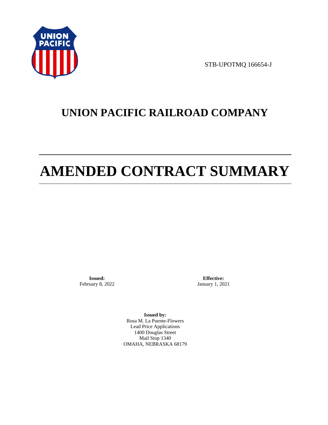

STB-UPOTMQ 166654-J

# **UNION PACIFIC RAILROAD COMPANY**

# **AMENDED CONTRACT SUMMARY**

**Issued:**  February 8, 2022

**Effective:** January 1, 2021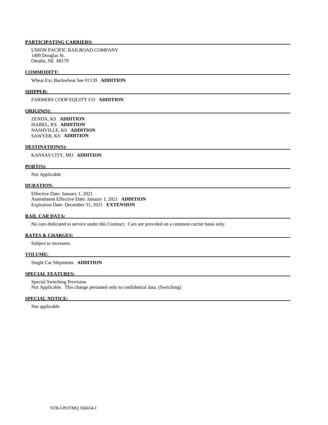UNION PACIFIC RAILROAD COMPANY 1400 Douglas St. Omaha, NE 68179

### **COMMODITY:**

Wheat Exc.Buckwheat See 01139 **ADDITION** 

### **SHIPPER:**

FARMERS COOP EQUITY CO **ADDITION** 

### **ORIGIN(S):**

 ZENDA, KS **ADDITION**  ISABEL, KS **ADDITION**  NASHVILLE, KS **ADDITION**  SAWYER, KS **ADDITION** 

### **DESTINATION(S):**

KANSAS CITY, MO **ADDITION** 

### **PORT(S):**

Not Applicable

# **DURATION:**

 Effective Date: January 1, 2021 Amendment Effective Date: January 1, 2021 **ADDITION**  Expiration Date: December 31, 2021 **EXTENSION** 

### **RAIL CAR DATA:**

No cars dedicated to service under this Contract. Cars are provided on a common carrier basis only.

### **RATES & CHARGES:**

Subject to increases.

# **VOLUME:**

Single Car Shipments **ADDITION** 

# **SPECIAL FEATURES:**

 Special Switching Provision Not Applicable. This change pertained only to confidential data. (Switching)

### **SPECIAL NOTICE:**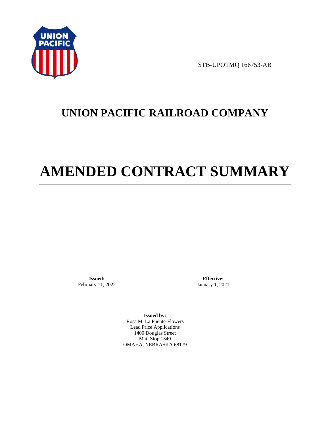

STB-UPOTMQ 166753-AB

# **UNION PACIFIC RAILROAD COMPANY**

# **AMENDED CONTRACT SUMMARY**

**Issued:**  February 11, 2022

**Effective:** January 1, 2021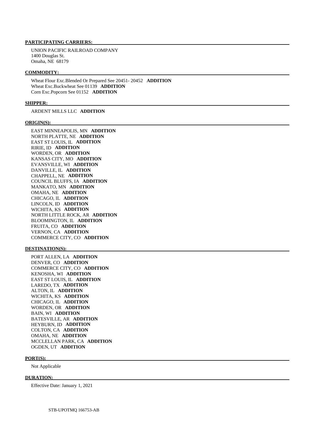UNION PACIFIC RAILROAD COMPANY 1400 Douglas St. Omaha, NE 68179

### **COMMODITY:**

 Wheat Flour Exc.Blended Or Prepared See 20451- 20452 **ADDITION**  Wheat Exc.Buckwheat See 01139 **ADDITION**  Corn Exc.Popcorn See 01152 **ADDITION** 

### **SHIPPER:**

ARDENT MILLS LLC **ADDITION** 

### **ORIGIN(S):**

 EAST MINNEAPOLIS, MN **ADDITION**  NORTH PLATTE, NE **ADDITION**  EAST ST LOUIS, IL **ADDITION**  RIRIE, ID **ADDITION**  WORDEN, OR **ADDITION**  KANSAS CITY, MO **ADDITION**  EVANSVILLE, WI **ADDITION**  DANVILLE, IL **ADDITION**  CHAPPELL, NE **ADDITION**  COUNCIL BLUFFS, IA **ADDITION**  MANKATO, MN **ADDITION**  OMAHA, NE **ADDITION**  CHICAGO, IL **ADDITION**  LINCOLN, ID **ADDITION**  WICHITA, KS **ADDITION**  NORTH LITTLE ROCK, AR **ADDITION**  BLOOMINGTON, IL **ADDITION**  FRUITA, CO **ADDITION**  VERNON, CA **ADDITION**  COMMERCE CITY, CO **ADDITION** 

### **DESTINATION(S):**

 PORT ALLEN, LA **ADDITION**  DENVER, CO **ADDITION**  COMMERCE CITY, CO **ADDITION**  KENOSHA, WI **ADDITION**  EAST ST LOUIS, IL **ADDITION**  LAREDO, TX **ADDITION**  ALTON, IL **ADDITION**  WICHITA, KS **ADDITION**  CHICAGO, IL **ADDITION**  WORDEN, OR **ADDITION**  BAIN, WI **ADDITION**  BATESVILLE, AR **ADDITION**  HEYBURN, ID **ADDITION**  COLTON, CA **ADDITION**  OMAHA, NE **ADDITION**  MCCLELLAN PARK, CA **ADDITION**  OGDEN, UT **ADDITION** 

### **PORT(S):**

Not Applicable

### **DURATION:**

Effective Date: January 1, 2021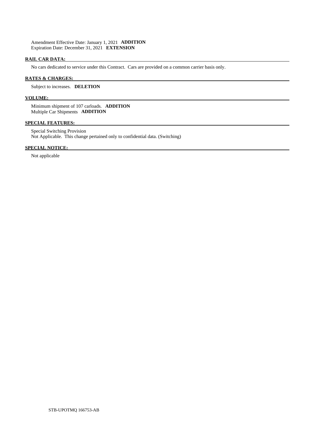Amendment Effective Date: January 1, 2021 **ADDITION**  Expiration Date: December 31, 2021 **EXTENSION** 

## **RAIL CAR DATA:**

No cars dedicated to service under this Contract. Cars are provided on a common carrier basis only.

### **RATES & CHARGES:**

### Subject to increases. **DELETION**

### **VOLUME:**

 Minimum shipment of 107 carloads. **ADDITION**  Multiple Car Shipments **ADDITION** 

### **SPECIAL FEATURES:**

 Special Switching Provision Not Applicable. This change pertained only to confidential data. (Switching)

# **SPECIAL NOTICE:**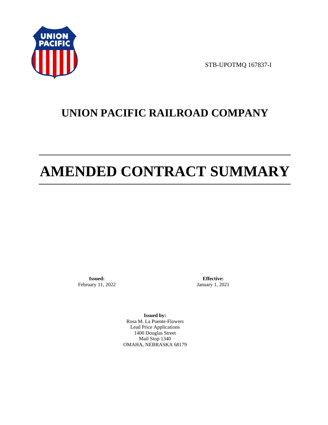

STB-UPOTMQ 167837-I

# **UNION PACIFIC RAILROAD COMPANY**

# **AMENDED CONTRACT SUMMARY**

**Issued:**  February 11, 2022

**Effective:** January 1, 2021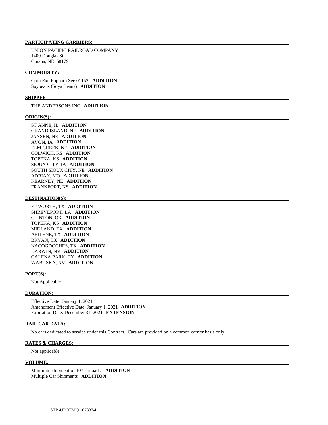UNION PACIFIC RAILROAD COMPANY 1400 Douglas St. Omaha, NE 68179

### **COMMODITY:**

 Corn Exc.Popcorn See 01152 **ADDITION**  Soybeans (Soya Beans) **ADDITION** 

### **SHIPPER:**

THE ANDERSONS INC **ADDITION** 

### **ORIGIN(S):**

 ST ANNE, IL **ADDITION**  GRAND ISLAND, NE **ADDITION**  JANSEN, NE **ADDITION**  AVON, IA **ADDITION**  ELM CREEK, NE **ADDITION**  COLWICH, KS **ADDITION**  TOPEKA, KS **ADDITION**  SIOUX CITY, IA **ADDITION**  SOUTH SIOUX CITY, NE **ADDITION**  ADRIAN, MO **ADDITION**  KEARNEY, NE **ADDITION**  FRANKFORT, KS **ADDITION** 

### **DESTINATION(S):**

 FT WORTH, TX **ADDITION**  SHREVEPORT, LA **ADDITION**  CLINTON, OK **ADDITION**  TOPEKA, KS **ADDITION**  MIDLAND, TX **ADDITION**  ABILENE, TX **ADDITION**  BRYAN, TX **ADDITION**  NACOGDOCHES, TX **ADDITION**  DARWIN, NV **ADDITION**  GALENA PARK, TX **ADDITION**  WABUSKA, NV **ADDITION** 

### **PORT(S):**

Not Applicable

# **DURATION:**

 Effective Date: January 1, 2021 Amendment Effective Date: January 1, 2021 **ADDITION**  Expiration Date: December 31, 2021 **EXTENSION** 

### **RAIL CAR DATA:**

No cars dedicated to service under this Contract. Cars are provided on a common carrier basis only.

## **RATES & CHARGES:**

Not applicable

### **VOLUME:**

 Minimum shipment of 107 carloads. **ADDITION**  Multiple Car Shipments **ADDITION**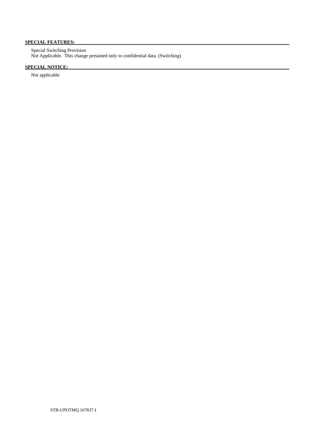# **SPECIAL FEATURES:**

 Special Switching Provision Not Applicable. This change pertained only to confidential data. (Switching)

# **SPECIAL NOTICE:**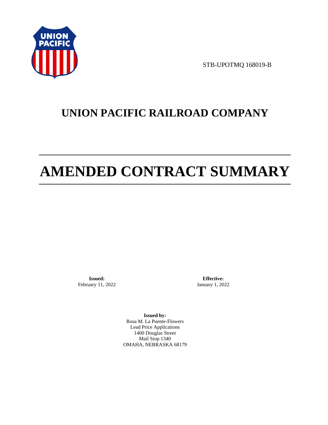

STB-UPOTMQ 168019-B

# **UNION PACIFIC RAILROAD COMPANY**

# **AMENDED CONTRACT SUMMARY**

**Issued:**  February 11, 2022

**Effective:** January 1, 2022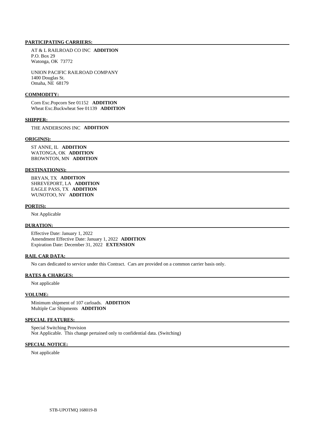AT & L RAILROAD CO INC **ADDITION**  P.O. Box 29 Watonga, OK 73772

 UNION PACIFIC RAILROAD COMPANY 1400 Douglas St. Omaha, NE 68179

### **COMMODITY:**

 Corn Exc.Popcorn See 01152 **ADDITION**  Wheat Exc.Buckwheat See 01139 **ADDITION** 

### **SHIPPER:**

THE ANDERSONS INC **ADDITION** 

#### **ORIGIN(S):**

 ST ANNE, IL **ADDITION**  WATONGA, OK **ADDITION**  BROWNTON, MN **ADDITION** 

### **DESTINATION(S):**

 BRYAN, TX **ADDITION**  SHREVEPORT, LA **ADDITION**  EAGLE PASS, TX **ADDITION**  WUNOTOO, NV **ADDITION** 

#### **PORT(S):**

Not Applicable

### **DURATION:**

 Effective Date: January 1, 2022 Amendment Effective Date: January 1, 2022 **ADDITION**  Expiration Date: December 31, 2022 **EXTENSION** 

### **RAIL CAR DATA:**

No cars dedicated to service under this Contract. Cars are provided on a common carrier basis only.

### **RATES & CHARGES:**

Not applicable

#### **VOLUME:**

 Minimum shipment of 107 carloads. **ADDITION**  Multiple Car Shipments **ADDITION** 

### **SPECIAL FEATURES:**

 Special Switching Provision Not Applicable. This change pertained only to confidential data. (Switching)

#### **SPECIAL NOTICE:**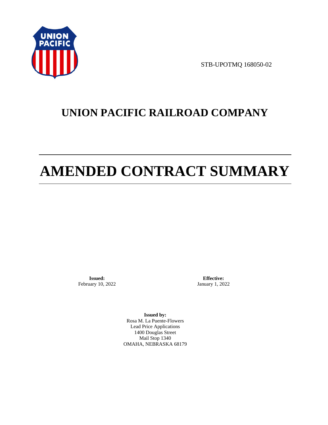

STB-UPOTMQ 168050-02

# **UNION PACIFIC RAILROAD COMPANY**

# **AMENDED CONTRACT SUMMARY**

**Issued:**  February 10, 2022

**Effective:** January 1, 2022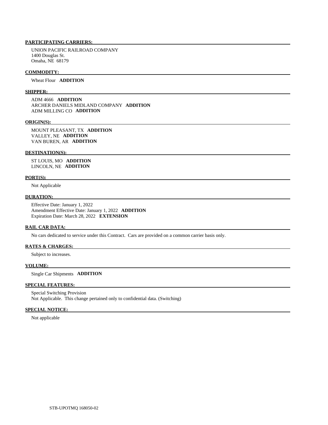UNION PACIFIC RAILROAD COMPANY 1400 Douglas St. Omaha, NE 68179

### **COMMODITY:**

Wheat Flour **ADDITION** 

# **SHIPPER:**

 ADM 4666 **ADDITION**  ARCHER DANIELS MIDLAND COMPANY **ADDITION**  ADM MILLING CO **ADDITION** 

#### **ORIGIN(S):**

 MOUNT PLEASANT, TX **ADDITION**  VALLEY, NE **ADDITION**  VAN BUREN, AR **ADDITION** 

### **DESTINATION(S):**

 ST LOUIS, MO **ADDITION**  LINCOLN, NE **ADDITION** 

### **PORT(S):**

Not Applicable

## **DURATION:**

 Effective Date: January 1, 2022 Amendment Effective Date: January 1, 2022 **ADDITION**  Expiration Date: March 28, 2022 **EXTENSION** 

### **RAIL CAR DATA:**

No cars dedicated to service under this Contract. Cars are provided on a common carrier basis only.

### **RATES & CHARGES:**

Subject to increases.

### **VOLUME:**

Single Car Shipments **ADDITION** 

### **SPECIAL FEATURES:**

 Special Switching Provision Not Applicable. This change pertained only to confidential data. (Switching)

### **SPECIAL NOTICE:**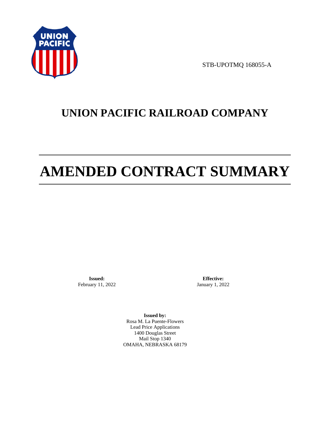

STB-UPOTMQ 168055-A

# **UNION PACIFIC RAILROAD COMPANY**

# **AMENDED CONTRACT SUMMARY**

**Issued:**  February 11, 2022

**Effective:** January 1, 2022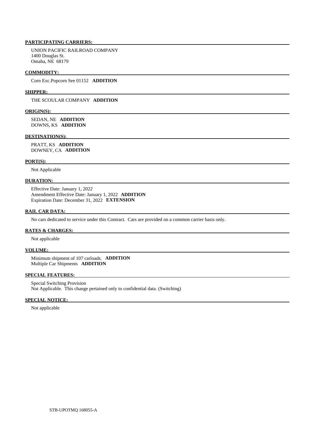UNION PACIFIC RAILROAD COMPANY 1400 Douglas St. Omaha, NE 68179

### **COMMODITY:**

Corn Exc.Popcorn See 01152 **ADDITION** 

### **SHIPPER:**

THE SCOULAR COMPANY **ADDITION** 

### **ORIGIN(S):**

 SEDAN, NE **ADDITION**  DOWNS, KS **ADDITION** 

### **DESTINATION(S):**

 PRATT, KS **ADDITION**  DOWNEY, CA **ADDITION** 

### **PORT(S):**

Not Applicable

### **DURATION:**

 Effective Date: January 1, 2022 Amendment Effective Date: January 1, 2022 **ADDITION**  Expiration Date: December 31, 2022 **EXTENSION** 

### **RAIL CAR DATA:**

No cars dedicated to service under this Contract. Cars are provided on a common carrier basis only.

### **RATES & CHARGES:**

Not applicable

### **VOLUME:**

 Minimum shipment of 107 carloads. **ADDITION**  Multiple Car Shipments **ADDITION** 

### **SPECIAL FEATURES:**

 Special Switching Provision Not Applicable. This change pertained only to confidential data. (Switching)

### **SPECIAL NOTICE:**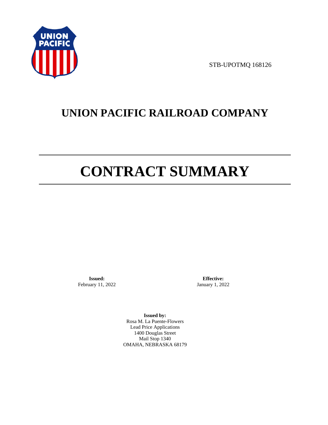

STB-UPOTMQ 168126

# **UNION PACIFIC RAILROAD COMPANY**

# **CONTRACT SUMMARY**

**Issued:**  February 11, 2022

**Effective:** January 1, 2022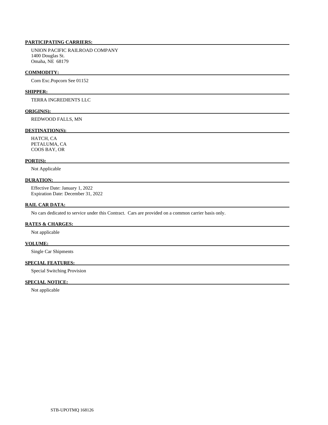UNION PACIFIC RAILROAD COMPANY 1400 Douglas St. Omaha, NE 68179

### **COMMODITY:**

Corn Exc.Popcorn See 01152

### **SHIPPER:**

TERRA INGREDIENTS LLC

### **ORIGIN(S):**

REDWOOD FALLS, MN

### **DESTINATION(S):**

 HATCH, CA PETALUMA, CA COOS BAY, OR

## **PORT(S):**

Not Applicable

# **DURATION:**

 Effective Date: January 1, 2022 Expiration Date: December 31, 2022

### **RAIL CAR DATA:**

No cars dedicated to service under this Contract. Cars are provided on a common carrier basis only.

### **RATES & CHARGES:**

Not applicable

# **VOLUME:**

Single Car Shipments

# **SPECIAL FEATURES:**

Special Switching Provision

### **SPECIAL NOTICE:**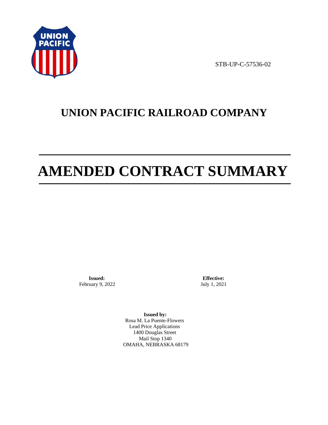

STB-UP-C-57536-02

# **UNION PACIFIC RAILROAD COMPANY**

# **AMENDED CONTRACT SUMMARY**

**Issued:**  February 9, 2022

**Effective:** July 1, 2021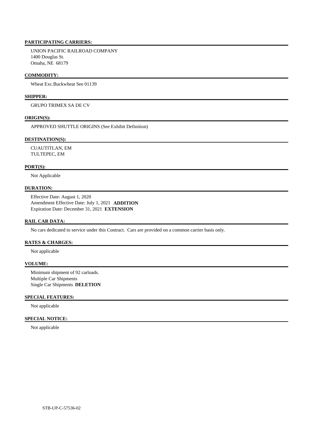UNION PACIFIC RAILROAD COMPANY 1400 Douglas St. Omaha, NE 68179

### **COMMODITY:**

Wheat Exc.Buckwheat See 01139

# **SHIPPER:**

GRUPO TRIMEX SA DE CV

### **ORIGIN(S):**

APPROVED SHUTTLE ORIGINS (See Exhibit Definition)

### **DESTINATION(S):**

 CUAUTITLAN, EM TULTEPEC, EM

### **PORT(S):**

Not Applicable

### **DURATION:**

 Effective Date: August 1, 2020 Amendment Effective Date: July 1, 2021 **ADDITION**  Expiration Date: December 31, 2021 **EXTENSION** 

### **RAIL CAR DATA:**

No cars dedicated to service under this Contract. Cars are provided on a common carrier basis only.

### **RATES & CHARGES:**

Not applicable

# **VOLUME:**

 Minimum shipment of 92 carloads. Multiple Car Shipments Single Car Shipments **DELETION** 

# **SPECIAL FEATURES:**

Not applicable

# **SPECIAL NOTICE:**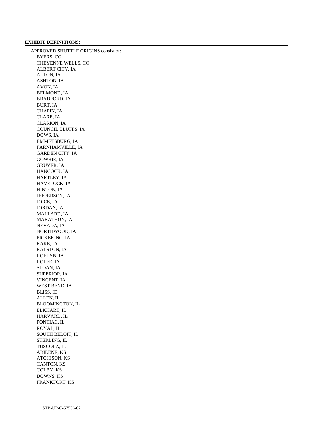### **EXHIBIT DEFINITIONS:**

 APPROVED SHUTTLE ORIGINS consist of: BYERS, CO CHEYENNE WELLS, CO ALBERT CITY, IA ALTON, IA ASHTON, IA AVON, IA BELMOND, IA BRADFORD, IA BURT, IA CHAPIN, IA CLARE, IA CLARION, IA COUNCIL BLUFFS, IA DOWS, IA EMMETSBURG, IA FARNHAMVILLE, IA GARDEN CITY, IA GOWRIE, IA GRUVER, IA HANCOCK, IA HARTLEY, IA HAVELOCK, IA HINTON, IA JEFFERSON, IA JOICE, IA JORDAN, IA MALLARD, IA MARATHON, IA NEVADA, IA NORTHWOOD, IA PICKERING, IA RAKE, IA RALSTON, IA ROELYN, IA ROLFE, IA SLOAN, IA SUPERIOR, IA VINCENT, IA WEST BEND, IA BLISS, ID ALLEN, IL BLOOMINGTON, IL ELKHART, IL HARVARD, IL PONTIAC, IL ROYAL, IL SOUTH BELOIT, IL STERLING, IL TUSCOLA, IL ABILENE, KS ATCHISON, KS CANTON, KS COLBY, KS DOWNS, KS FRANKFORT, KS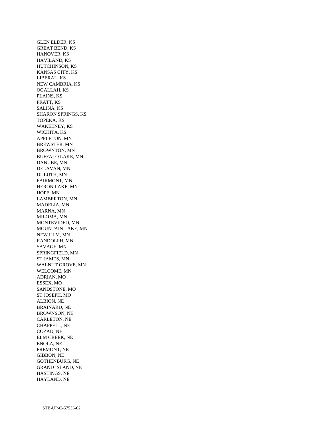GLEN ELDER, KS GREAT BEND, KS HANOVER, KS HAVILAND, KS HUTCHINSON, KS KANSAS CITY, KS LIBERAL, KS NEW CAMBRIA, KS OGALLAH, KS PLAINS, KS PRATT, KS SALINA, KS SHARON SPRINGS, KS TOPEKA, KS WAKEENEY, KS WICHITA, KS APPLETON, MN BREWSTER, MN BROWNTON, MN BUFFALO LAKE, MN DANUBE, MN DELAVAN, MN DULUTH, MN FAIRMONT, MN HERON LAKE, MN HOPE, MN LAMBERTON, MN MADELIA, MN MARNA, MN MILOMA, MN MONTEVIDEO, MN MOUNTAIN LAKE, MN NEW ULM, MN RANDOLPH, MN SAVAGE, MN SPRINGFIELD, MN ST JAMES, MN WALNUT GROVE, MN WELCOME, MN ADRIAN, MO ESSEX, MO SANDSTONE, MO ST JOSEPH, MO ALBION, NE BRAINARD, NE BROWNSON, NE CARLETON, NE CHAPPELL, NE COZAD, NE ELM CREEK, NE ENOLA, NE FREMONT, NE GIBBON, NE GOTHENBURG, NE GRAND ISLAND, NE HASTINGS, NE HAYLAND, NE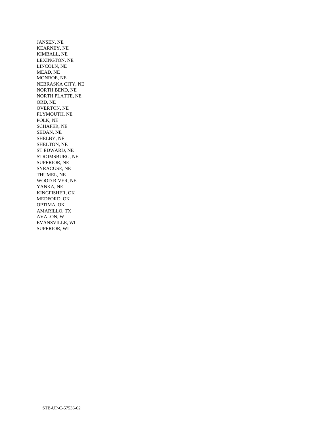JANSEN, NE KEARNEY, NE KIMBALL, NE LEXINGTON, NE LINCOLN, NE MEAD, NE MONROE, NE NEBRASKA CITY, NE NORTH BEND, NE NORTH PLATTE, NE ORD, NE OVERTON, NE PLYMOUTH, NE POLK, NE SCHAFER, NE SEDAN, NE SHELBY, NE SHELTON, NE ST EDWARD, NE STROMSBURG, NE SUPERIOR, NE SYRACUSE, NE THUMEL, NE WOOD RIVER, NE YANKA, NE KINGFISHER, OK MEDFORD, OK OPTIMA, OK AMARILLO, TX AVALON, WI EVANSVILLE, WI SUPERIOR, WI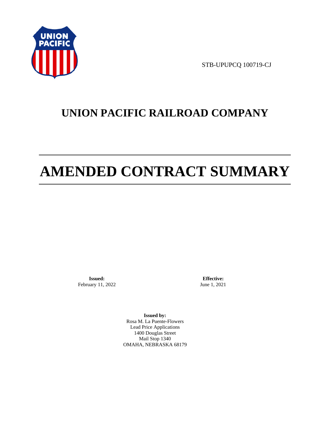

STB-UPUPCQ 100719-CJ

# **UNION PACIFIC RAILROAD COMPANY**

# **AMENDED CONTRACT SUMMARY**

**Issued:**  February 11, 2022

**Effective:** June 1, 2021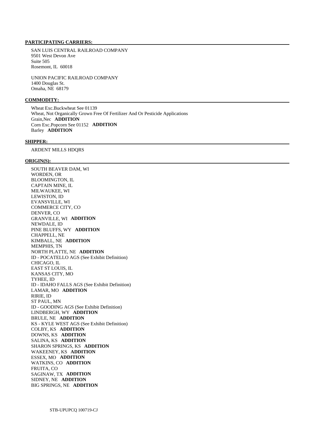#### **PARTICIPATING CARRIERS:**

 SAN LUIS CENTRAL RAILROAD COMPANY 9501 West Devon Ave Suite 505 Rosemont, IL 60018

 UNION PACIFIC RAILROAD COMPANY 1400 Douglas St. Omaha, NE 68179

#### **COMMODITY:**

 Wheat Exc.Buckwheat See 01139 Wheat, Not Organically Grown Free Of Fertilizer And Or Pesticide Applications Grain,Nec **ADDITION**  Corn Exc.Popcorn See 01152 **ADDITION**  Barley **ADDITION** 

#### **SHIPPER:**

ARDENT MILLS HDQRS

#### **ORIGIN(S):**

 SOUTH BEAVER DAM, WI WORDEN, OR BLOOMINGTON, IL CAPTAIN MINE, IL MILWAUKEE, WI LEWISTON, ID EVANSVILLE, WI COMMERCE CITY, CO DENVER, CO GRANVILLE, WI **ADDITION**  NEWDALE, ID PINE BLUFFS, WY **ADDITION**  CHAPPELL, NE KIMBALL, NE **ADDITION**  MEMPHIS, TN NORTH PLATTE, NE **ADDITION**  ID - POCATELLO AGS (See Exhibit Definition) CHICAGO, IL EAST ST LOUIS, IL KANSAS CITY, MO TYHEE, ID ID - IDAHO FALLS AGS (See Exhibit Definition) LAMAR, MO **ADDITION**  RIRIE, ID ST PAUL, MN ID - GOODING AGS (See Exhibit Definition) LINDBERGH, WY **ADDITION**  BRULE, NE **ADDITION**  KS - KYLE WEST AGS (See Exhibit Definition) COLBY, KS **ADDITION**  DOWNS, KS **ADDITION**  SALINA, KS **ADDITION**  SHARON SPRINGS, KS **ADDITION**  WAKEENEY, KS **ADDITION**  ESSEX, MO **ADDITION**  WATKINS, CO **ADDITION**  FRUITA, CO SAGINAW, TX **ADDITION**  SIDNEY, NE **ADDITION**  BIG SPRINGS, NE **ADDITION**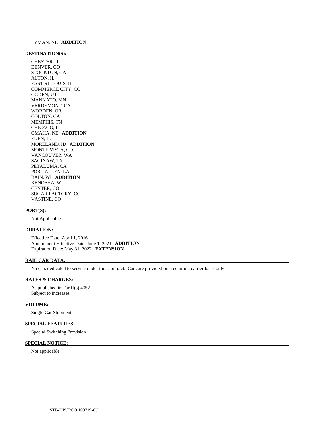#### **DESTINATION(S):**

 CHESTER, IL DENVER, CO STOCKTON, CA ALTON, IL EAST ST LOUIS, IL COMMERCE CITY, CO OGDEN, UT MANKATO, MN VERDEMONT, CA WORDEN, OR COLTON, CA MEMPHIS, TN CHICAGO, IL OMAHA, NE **ADDITION**  EDEN, ID MORELAND, ID **ADDITION**  MONTE VISTA, CO VANCOUVER, WA SAGINAW, TX PETALUMA, CA PORT ALLEN, LA BAIN, WI **ADDITION**  KENOSHA, WI CENTER, CO SUGAR FACTORY, CO VASTINE, CO

#### **PORT(S):**

Not Applicable

#### **DURATION:**

 Effective Date: April 1, 2016 Amendment Effective Date: June 1, 2021 **ADDITION**  Expiration Date: May 31, 2022 **EXTENSION** 

#### **RAIL CAR DATA:**

No cars dedicated to service under this Contract. Cars are provided on a common carrier basis only.

#### **RATES & CHARGES:**

 As published in Tariff(s) 4052 Subject to increases.

#### **VOLUME:**

Single Car Shipments

#### **SPECIAL FEATURES:**

Special Switching Provision

#### **SPECIAL NOTICE:**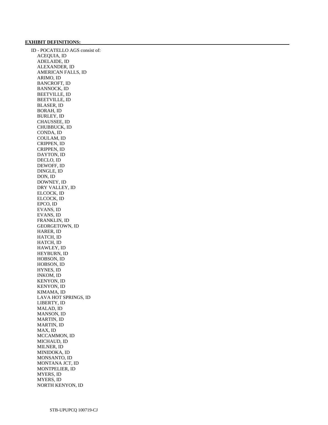#### **EXHIBIT DEFINITIONS:**

 ID - POCATELLO AGS consist of: ACEQUIA, ID ADELAIDE, ID ALEXANDER, ID AMERICAN FALLS, ID ARIMO, ID BANCROFT, ID BANNOCK, ID BEETVILLE, ID BEETVILLE, ID BLASER, ID BORAH, ID BURLEY, ID CHAUSSEE, ID CHUBBUCK, ID CONDA, ID COULAM, ID CRIPPEN, ID CRIPPEN, ID DAYTON, ID DECLO, ID DEWOFF, ID DINGLE, ID DON, ID DOWNEY, ID DRY VALLEY, ID ELCOCK, ID ELCOCK, ID EPCO, ID EVANS, ID EVANS, ID FRANKLIN, ID GEORGETOWN, ID HARER, ID HATCH, ID HATCH, ID HAWLEY, ID HEYBURN, ID HOBSON, ID HOBSON, ID HYNES, ID INKOM, ID KENYON, ID KENYON, ID KIMAMA, ID LAVA HOT SPRINGS, ID LIBERTY, ID MALAD, ID MANSON, ID MARTIN, ID MARTIN, ID MAX, ID MCCAMMON, ID MICHAUD, ID MILNER, ID MINIDOKA, ID MONSANTO, ID MONTANA JCT, ID MONTPELIER, ID MYERS, ID MYERS, ID NORTH KENYON, ID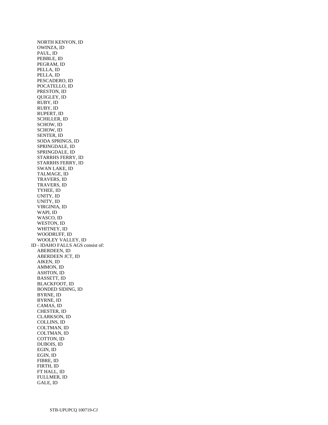NORTH KENYON, ID OWINZA, ID PAUL, ID PEBBLE, ID PEGRAM, ID PELLA, ID PELLA, ID PESCADERO, ID POCATELLO, ID PRESTON, ID QUIGLEY, ID RUBY, ID RUBY, ID RUPERT, ID SCHILLER, ID SCHOW, ID SCHOW, ID SENTER, ID SODA SPRINGS, ID SPRINGDALE, ID SPRINGDALE, ID STARRHS FERRY, ID STARRHS FERRY, ID SWAN LAKE, ID TALMAGE, ID TRAVERS, ID TRAVERS, ID TYHEE, ID UNITY, ID UNITY, ID VIRGINIA, ID WAPI, ID WASCO, ID WESTON, ID WHITNEY, ID WOODRUFF, ID WOOLEY VALLEY, ID ID - IDAHO FALLS AGS consist of: ABERDEEN, ID ABERDEEN JCT, ID AIKEN, ID AMMON, ID ASHTON, ID BASSETT, ID BLACKFOOT, ID BONDED SIDING, ID BYRNE, ID BYRNE, ID CAMAS, ID CHESTER, ID CLARKSON, ID COLLINS, ID COLTMAN, ID COLTMAN, ID COTTON, ID DUBOIS, ID EGIN, ID EGIN, ID FIBRE, ID FIRTH, ID FT HALL, ID FULLMER, ID GALE, ID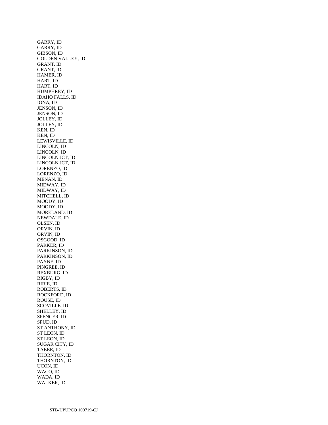GARRY, ID GARRY, ID GIBSON, ID GOLDEN VALLEY, ID GRANT, ID GRANT, ID HAMER, ID HART, ID HART, ID HUMPHREY, ID IDAHO FALLS, ID IONA, ID JENSON, ID JENSON, ID JOLLEY, ID JOLLEY, ID KEN, ID KEN, ID LEWISVILLE, ID LINCOLN, ID LINCOLN, ID LINCOLN JCT, ID LINCOLN JCT, ID LORENZO, ID LORENZO, ID MENAN, ID MIDWAY, ID MIDWAY, ID MITCHELL, ID MOODY, ID MOODY, ID MORELAND, ID NEWDALE, ID OLSEN, ID ORVIN, ID ORVIN, ID OSGOOD, ID PARKER, ID PARKINSON, ID PARKINSON, ID PAYNE, ID PINGREE, ID REXBURG, ID RIGBY, ID RIRIE, ID ROBERTS, ID ROCKFORD, ID ROUSE, ID SCOVILLE, ID SHELLEY, ID SPENCER, ID SPUD, ID ST ANTHONY, ID ST LEON, ID ST LEON, ID SUGAR CITY, ID TABER, ID THORNTON, ID THORNTON, ID UCON, ID WACO, ID WADA, ID WALKER, ID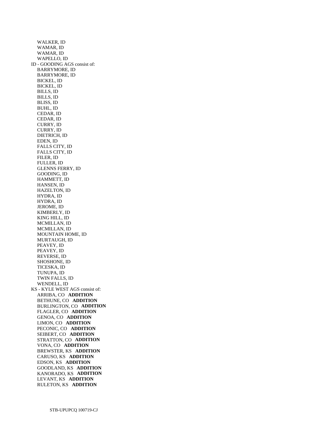WALKER, ID WAMAR, ID WAMAR, ID WAPELLO, ID ID - GOODING AGS consist of: BARRYMORE, ID BARRYMORE, ID BICKEL, ID BICKEL, ID BILLS, ID BILLS, ID BLISS, ID BUHL, ID CEDAR, ID CEDAR, ID CURRY, ID CURRY, ID DIETRICH, ID EDEN, ID FALLS CITY, ID FALLS CITY, ID FILER, ID FULLER, ID GLENNS FERRY, ID GOODING, ID HAMMETT, ID HANSEN, ID HAZELTON, ID HYDRA, ID HYDRA, ID JEROME, ID KIMBERLY, ID KING HILL, ID MCMILLAN, ID MCMILLAN, ID MOUNTAIN HOME, ID MURTAUGH, ID PEAVEY, ID PEAVEY, ID REVERSE, ID SHOSHONE, ID TICESKA, ID TUNUPA, ID TWIN FALLS, ID WENDELL, ID KS - KYLE WEST AGS consist of: ARRIBA, CO **ADDITION**  BETHUNE, CO **ADDITION**  BURLINGTON, CO **ADDITION**  FLAGLER, CO **ADDITION**  GENOA, CO **ADDITION**  LIMON, CO **ADDITION**  PECONIC, CO **ADDITION**  SEIBERT, CO **ADDITION**  STRATTON, CO **ADDITION**  VONA, CO **ADDITION**  BREWSTER, KS **ADDITION**  CARUSO, KS **ADDITION**  EDSON, KS **ADDITION**  GOODLAND, KS **ADDITION**  KANORADO, KS **ADDITION**  LEVANT, KS **ADDITION**  RULETON, KS **ADDITION**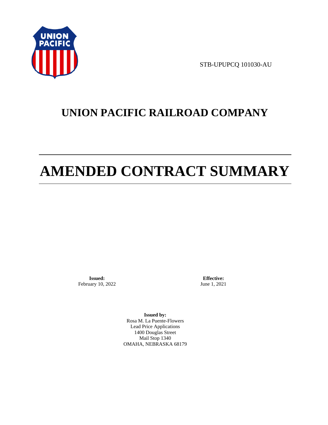

STB-UPUPCQ 101030-AU

## **UNION PACIFIC RAILROAD COMPANY**

# **AMENDED CONTRACT SUMMARY**

**Issued:**  February 10, 2022

**Effective:** June 1, 2021

**Issued by:**  Rosa M. La Puente-Flowers Lead Price Applications 1400 Douglas Street Mail Stop 1340 OMAHA, NEBRASKA 68179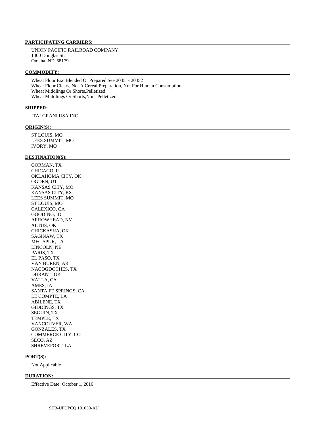#### **PARTICIPATING CARRIERS:**

 UNION PACIFIC RAILROAD COMPANY 1400 Douglas St. Omaha, NE 68179

#### **COMMODITY:**

 Wheat Flour Exc.Blended Or Prepared See 20451- 20452 Wheat Flour Clears, Not A Cereal Preparation, Not For Human Consumption Wheat Middlings Or Shorts,Pelletized Wheat Middlings Or Shorts,Non- Pelletized

#### **SHIPPER:**

ITALGRANI USA INC

#### **ORIGIN(S):**

 ST LOUIS, MO LEES SUMMIT, MO IVORY, MO

#### **DESTINATION(S):**

 GORMAN, TX CHICAGO, IL OKLAHOMA CITY, OK OGDEN, UT KANSAS CITY, MO KANSAS CITY, KS LEES SUMMIT, MO ST LOUIS, MO CALEXICO, CA GOODING, ID ARROWHEAD, NV ALTUS, OK CHICKASHA, OK SAGINAW, TX MFC SPUR, LA LINCOLN, NE PARIS, TX EL PASO, TX VAN BUREN, AR NACOGDOCHES, TX DURANT, OK VALLA, CA AMES, IA SANTA FE SPRINGS, CA LE COMPTE, LA ABILENE, TX GIDDINGS, TX SEGUIN, TX TEMPLE, TX VANCOUVER, WA GONZALES, TX COMMERCE CITY, CO SECO, AZ SHREVEPORT, LA

#### **PORT(S):**

Not Applicable

#### **DURATION:**

Effective Date: October 1, 2016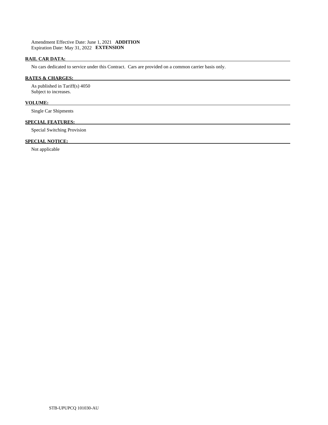#### **RAIL CAR DATA:**

No cars dedicated to service under this Contract. Cars are provided on a common carrier basis only.

#### **RATES & CHARGES:**

 As published in Tariff(s) 4050 Subject to increases.

#### **VOLUME:**

Single Car Shipments

#### **SPECIAL FEATURES:**

Special Switching Provision

#### **SPECIAL NOTICE:**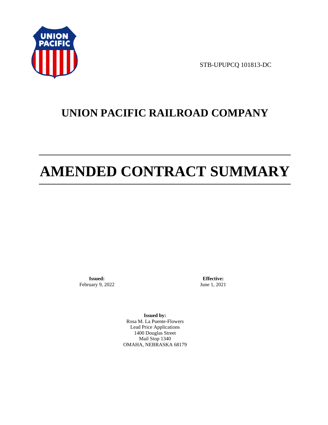

STB-UPUPCQ 101813-DC

# **UNION PACIFIC RAILROAD COMPANY**

# **AMENDED CONTRACT SUMMARY**

**Issued:**  February 9, 2022

**Effective:** June 1, 2021

**Issued by:**  Rosa M. La Puente-Flowers Lead Price Applications 1400 Douglas Street Mail Stop 1340 OMAHA, NEBRASKA 68179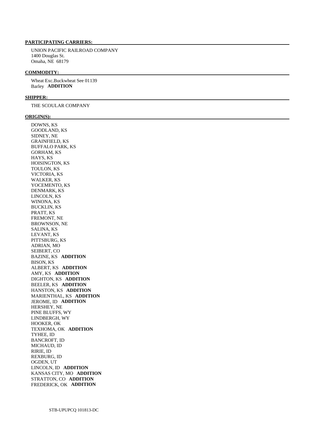#### **PARTICIPATING CARRIERS:**

 UNION PACIFIC RAILROAD COMPANY 1400 Douglas St. Omaha, NE 68179

#### **COMMODITY:**

 Wheat Exc.Buckwheat See 01139 Barley **ADDITION** 

#### **SHIPPER:**

THE SCOULAR COMPANY

#### **ORIGIN(S):**

 DOWNS, KS GOODLAND, KS SIDNEY, NE GRAINFIELD, KS BUFFALO PARK, KS GORHAM, KS HAYS, KS HOISINGTON, KS TOULON, KS VICTORIA, KS WALKER, KS YOCEMENTO, KS DENMARK, KS LINCOLN, KS WINONA, KS BUCKLIN, KS PRATT, KS FREMONT, NE BROWNSON, NE SALINA, KS LEVANT, KS PITTSBURG, KS ADRIAN, MO SEIBERT, CO BAZINE, KS **ADDITION**  BISON, KS ALBERT, KS **ADDITION**  AMY, KS **ADDITION**  DIGHTON, KS **ADDITION**  BEELER, KS **ADDITION**  HANSTON, KS **ADDITION**  MARIENTHAL, KS **ADDITION**  JEROME, ID **ADDITION**  HERSHEY, NE PINE BLUFFS, WY LINDBERGH, WY HOOKER, OK TEXHOMA, OK **ADDITION**  TYHEE, ID BANCROFT, ID MICHAUD, ID RIRIE, ID REXBURG, ID OGDEN, UT LINCOLN, ID **ADDITION**  KANSAS CITY, MO **ADDITION**  STRATTON, CO **ADDITION**  FREDERICK, OK **ADDITION**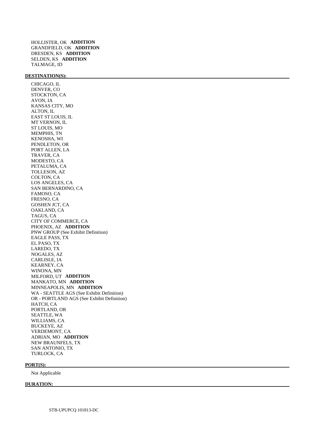#### **DESTINATION(S):**

 CHICAGO, IL DENVER, CO STOCKTON, CA AVON, IA KANSAS CITY, MO ALTON, IL EAST ST LOUIS, IL MT VERNON, IL ST LOUIS, MO MEMPHIS, TN KENOSHA, WI PENDLETON, OR PORT ALLEN, LA TRAVER, CA MODESTO, CA PETALUMA, CA TOLLESON, AZ COLTON, CA LOS ANGELES, CA SAN BERNARDINO, CA FAMOSO, CA FRESNO, CA GOSHEN JCT, CA OAKLAND, CA TAGUS, CA CITY OF COMMERCE, CA PHOENIX, AZ **ADDITION**  PNW GROUP (See Exhibit Definition) EAGLE PASS, TX EL PASO, TX LAREDO, TX NOGALES, AZ CARLISLE, IA KEARNEY, CA WINONA, MN MILFORD, UT **ADDITION**  MANKATO, MN **ADDITION**  MINNEAPOLIS, MN **ADDITION**  WA - SEATTLE AGS (See Exhibit Definition) OR - PORTLAND AGS (See Exhibit Definition) HATCH, CA PORTLAND, OR SEATTLE, WA WILLIAMS, CA BUCKEYE, AZ VERDEMONT, CA ADRIAN, MO **ADDITION**  NEW BRAUNFELS, TX SAN ANTONIO, TX TURLOCK, CA

#### **PORT(S):**

Not Applicable

#### **DURATION:**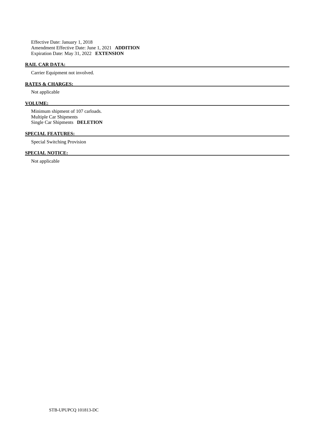Effective Date: January 1, 2018 Amendment Effective Date: June 1, 2021 **ADDITION**  Expiration Date: May 31, 2022 **EXTENSION** 

#### **RAIL CAR DATA:**

Carrier Equipment not involved.

#### **RATES & CHARGES:**

Not applicable

#### **VOLUME:**

 Minimum shipment of 107 carloads. Multiple Car Shipments Single Car Shipments **DELETION** 

#### **SPECIAL FEATURES:**

Special Switching Provision

### **SPECIAL NOTICE:**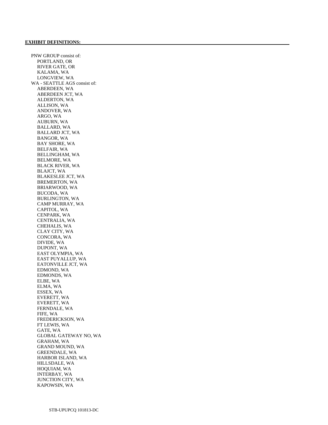PNW GROUP consist of: PORTLAND, OR RIVER GATE, OR KALAMA, WA LONGVIEW, WA WA - SEATTLE AGS consist of: ABERDEEN, WA ABERDEEN JCT, WA ALDERTON, WA ALLISON, WA ANDOVER, WA ARGO, WA AUBURN, WA BALLARD, WA BALLARD JCT, WA BANGOR, WA BAY SHORE, WA BELFAIR, WA BELLINGHAM, WA BELMORE, WA BLACK RIVER, WA BLAJCT, WA BLAKESLEE JCT, WA BREMERTON, WA BRIARWOOD, WA BUCODA, WA BURLINGTON, WA CAMP MURRAY, WA CAPITOL, WA CENPARK, WA CENTRALIA, WA CHEHALIS, WA CLAY CITY, WA CONCORA, WA DIVIDE, WA DUPONT, WA EAST OLYMPIA, WA EAST PUYALLUP, WA EATONVILLE JCT, WA EDMOND, WA EDMONDS, WA ELBE, WA ELMA, WA ESSEX, WA EVERETT, WA EVERETT, WA FERNDALE, WA FIFE, WA FREDERICKSON, WA FT LEWIS, WA GATE, WA GLOBAL GATEWAY NO, WA GRAHAM, WA GRAND MOUND, WA GREENDALE, WA HARBOR ISLAND, WA HILLSDALE, WA HOQUIAM, WA INTERBAY, WA JUNCTION CITY, WA KAPOWSIN, WA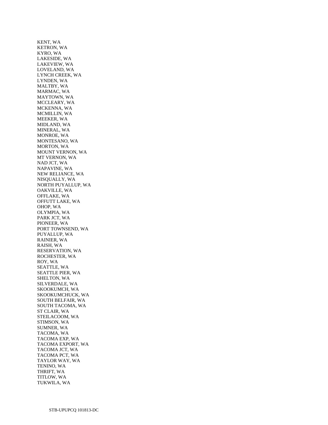KENT, WA KETRON, WA KYRO, WA LAKESIDE, WA LAKEVIEW, WA LOVELAND, WA LYNCH CREEK, WA LYNDEN, WA MALTBY, WA MARMAC, WA MAYTOWN, WA MCCLEARY, WA MCKENNA, WA MCMILLIN, WA MEEKER, WA MIDLAND, WA MINERAL, WA MONROE, WA MONTESANO, WA MORTON, WA MOUNT VERNON, WA MT VERNON, WA NAD JCT, WA NAPAVINE, WA NEW RELIANCE, WA NISQUALLY, WA NORTH PUYALLUP, WA OAKVILLE, WA OFFLAKE, WA OFFUTT LAKE, WA OHOP, WA OLYMPIA, WA PARK JCT, WA PIONEER, WA PORT TOWNSEND, WA PUYALLUP, WA RAINIER, WA RAISH, WA RESERVATION, WA ROCHESTER, WA ROY, WA SEATTLE, WA SEATTLE PIER, WA SHELTON, WA SILVERDALE, WA SKOOKUMCH, WA SKOOKUMCHUCK, WA SOUTH BELFAIR, WA SOUTH TACOMA, WA ST CLAIR, WA STEILACOOM, WA STIMSON, WA SUMNER, WA TACOMA, WA TACOMA EXP, WA TACOMA EXPORT, WA TACOMA JCT, WA TACOMA PCT, WA TAYLOR WAY, WA TENINO, WA THRIFT, WA TITLOW, WA TUKWILA, WA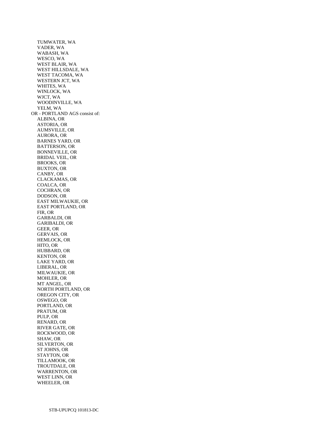TUMWATER, WA VADER, WA WABASH, WA WESCO, WA WEST BLAIR, WA WEST HILLSDALE, WA WEST TACOMA, WA WESTERN JCT, WA WHITES, WA WINLOCK, WA WJCT, WA WOODINVILLE, WA YELM, WA OR - PORTLAND AGS consist of: ALBINA, OR ASTORIA, OR AUMSVILLE, OR AURORA, OR BARNES YARD, OR BATTERSON, OR BONNEVILLE, OR BRIDAL VEIL, OR BROOKS, OR BUXTON, OR CANBY, OR CLACKAMAS, OR COALCA, OR COCHRAN, OR DODSON, OR EAST MILWAUKIE, OR EAST PORTLAND, OR FIR, OR GARBALDI, OR GARIBALDI, OR GEER, OR GERVAIS, OR HEMLOCK, OR HITO, OR HUBBARD, OR KENTON, OR LAKE YARD, OR LIBERAL, OR MILWAUKIE, OR MOHLER, OR MT ANGEL, OR NORTH PORTLAND, OR OREGON CITY, OR OSWEGO, OR PORTLAND, OR PRATUM, OR PULP, OR RENARD, OR RIVER GATE, OR ROCKWOOD, OR SHAW, OR SILVERTON, OR ST JOHNS, OR STAYTON, OR TILLAMOOK, OR TROUTDALE, OR WARRENTON, OR WEST LINN, OR WHEELER, OR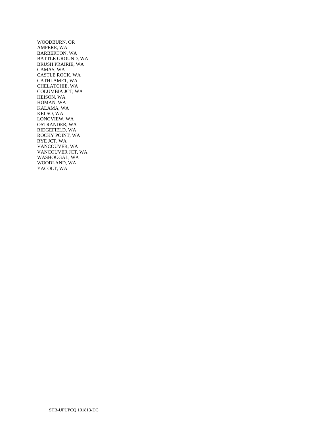WOODBURN, OR AMPERE, WA BARBERTON, WA BATTLE GROUND, WA BRUSH PRAIRIE, WA CAMAS, WA CASTLE ROCK, WA CATHLAMET, WA CHELATCHIE, WA COLUMBIA JCT, WA HEISON, WA HOMAN, WA KALAMA, WA KELSO, WA LONGVIEW, WA OSTRANDER, WA RIDGEFIELD, WA ROCKY POINT, WA RYE JCT, WA VANCOUVER, WA VANCOUVER JCT, WA WASHOUGAL, WA WOODLAND, WA YACOLT, WA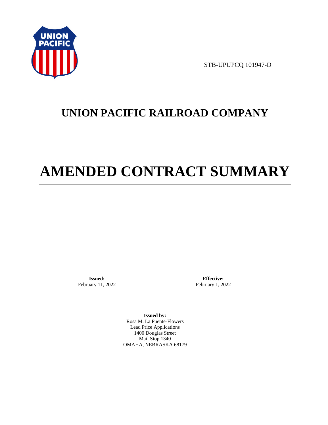

STB-UPUPCQ 101947-D

## **UNION PACIFIC RAILROAD COMPANY**

# **AMENDED CONTRACT SUMMARY**

**Issued:**  February 11, 2022

**Effective:** February 1, 2022

**Issued by:**  Rosa M. La Puente-Flowers Lead Price Applications 1400 Douglas Street Mail Stop 1340 OMAHA, NEBRASKA 68179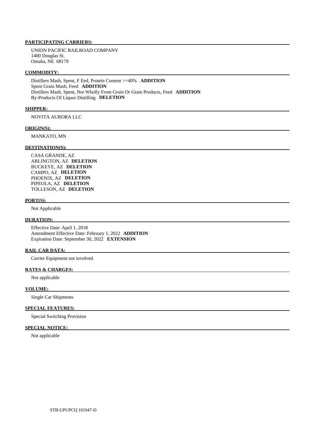#### **PARTICIPATING CARRIERS:**

 UNION PACIFIC RAILROAD COMPANY 1400 Douglas St. Omaha, NE 68179

#### **COMMODITY:**

 Distillers Mash, Spent, F Eed, Protein Content >=40% **ADDITION**  Spent Grain Mash, Feed **ADDITION**  Distillers Mash, Spent, Not Wholly From Grain Or Grain Products, Feed **ADDITION**  By-Products Of Liquor Distilling **DELETION** 

#### **SHIPPER:**

NOVITA AURORA LLC

#### **ORIGIN(S):**

MANKATO, MN

#### **DESTINATION(S):**

 CASA GRANDE, AZ ARLINGTON, AZ **DELETION**  BUCKEYE, AZ **DELETION**  CAMPO, AZ **DELETION**  PHOENIX, AZ **DELETION**  PIPEOLA, AZ **DELETION**  TOLLESON, AZ **DELETION** 

#### **PORT(S):**

Not Applicable

#### **DURATION:**

 Effective Date: April 1, 2018 Amendment Effective Date: February 1, 2022 **ADDITION**  Expiration Date: September 30, 2022 **EXTENSION** 

#### **RAIL CAR DATA:**

Carrier Equipment not involved.

#### **RATES & CHARGES:**

Not applicable

#### **VOLUME:**

Single Car Shipments

#### **SPECIAL FEATURES:**

Special Switching Provision

#### **SPECIAL NOTICE:**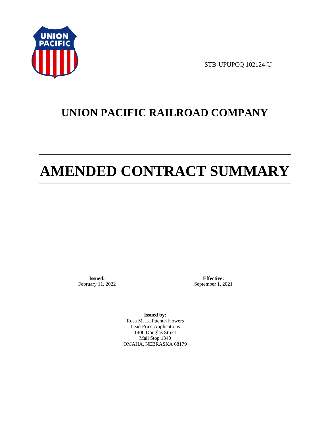

STB-UPUPCQ 102124-U

# **UNION PACIFIC RAILROAD COMPANY**

# **AMENDED CONTRACT SUMMARY**

**Issued:**  February 11, 2022

**Effective:** September 1, 2021

**Issued by:**  Rosa M. La Puente-Flowers Lead Price Applications 1400 Douglas Street Mail Stop 1340 OMAHA, NEBRASKA 68179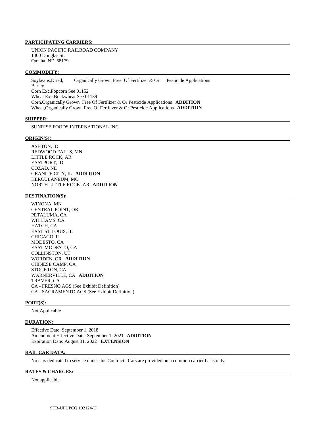#### **PARTICIPATING CARRIERS:**

 UNION PACIFIC RAILROAD COMPANY 1400 Douglas St. Omaha, NE 68179

#### **COMMODITY:**

 Soybeans,Dried, Organically Grown Free Of Fertilizer & Or Pesticide Applications Barley Corn Exc.Popcorn See 01152 Wheat Exc.Buckwheat See 01139 Corn,Organically Grown Free Of Fertilizer & Or Pesticide Applications **ADDITION**  Wheat,Organically Grown Free Of Fertilizer & Or Pesticide Applications **ADDITION** 

#### **SHIPPER:**

SUNRISE FOODS INTERNATIONAL INC

#### **ORIGIN(S):**

 ASHTON, ID REDWOOD FALLS, MN LITTLE ROCK, AR EASTPORT, ID COZAD, NE GRANITE CITY, IL **ADDITION**  HERCULANEUM, MO NORTH LITTLE ROCK, AR **ADDITION** 

#### **DESTINATION(S):**

 WINONA, MN CENTRAL POINT, OR PETALUMA, CA WILLIAMS, CA HATCH, CA EAST ST LOUIS, IL CHICAGO, IL MODESTO, CA EAST MODESTO, CA COLLINSTON, UT WORDEN, OR **ADDITION**  CHINESE CAMP, CA STOCKTON, CA WARNERVILLE, CA **ADDITION**  TRAVER, CA CA - FRESNO AGS (See Exhibit Definition) CA - SACRAMENTO AGS (See Exhibit Definition)

#### **PORT(S):**

Not Applicable

#### **DURATION:**

 Effective Date: September 1, 2018 Amendment Effective Date: September 1, 2021 **ADDITION**  Expiration Date: August 31, 2022 **EXTENSION** 

#### **RAIL CAR DATA:**

No cars dedicated to service under this Contract. Cars are provided on a common carrier basis only.

#### **RATES & CHARGES:**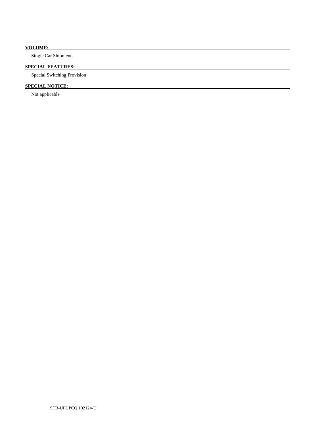### **VOLUME:**

Single Car Shipments

### **SPECIAL FEATURES:**

Special Switching Provision

## **SPECIAL NOTICE:**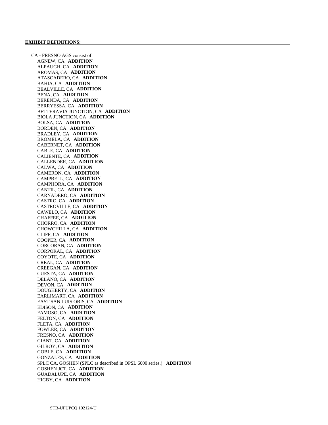CA - FRESNO AGS consist of: AGNEW, CA **ADDITION**  ALPAUGH, CA **ADDITION**  AROMAS, CA **ADDITION**  ATASCADERO, CA **ADDITION**  BAHIA, CA **ADDITION**  BEALVILLE, CA **ADDITION**  BENA, CA **ADDITION**  BERENDA, CA **ADDITION**  BERRYESSA, CA **ADDITION**  BETTERAVIA JUNCTION, CA **ADDITION**  BIOLA JUNCTION, CA **ADDITION**  BOLSA, CA **ADDITION**  BORDEN, CA **ADDITION**  BRADLEY, CA **ADDITION**  BROMELA, CA **ADDITION**  CABERNET, CA **ADDITION**  CABLE, CA **ADDITION**  CALIENTE, CA **ADDITION**  CALLENDER, CA **ADDITION**  CALWA, CA **ADDITION**  CAMERON, CA **ADDITION**  CAMPBELL, CA **ADDITION**  CAMPHORA, CA **ADDITION**  CANTIL, CA **ADDITION**  CARNADERO, CA **ADDITION**  CASTRO, CA **ADDITION**  CASTROVILLE, CA **ADDITION**  CAWELO, CA **ADDITION**  CHAFFEE, CA **ADDITION**  CHORRO, CA **ADDITION**  CHOWCHILLA, CA **ADDITION**  CLIFF, CA **ADDITION**  COOPER, CA **ADDITION**  CORCORAN, CA **ADDITION**  CORPORAL, CA **ADDITION**  COYOTE, CA **ADDITION**  CREAL, CA **ADDITION**  CREEGAN, CA **ADDITION**  CUESTA, CA **ADDITION**  DELANO, CA **ADDITION**  DEVON, CA **ADDITION**  DOUGHERTY, CA **ADDITION**  EARLIMART, CA **ADDITION**  EAST SAN LUIS OBIS, CA **ADDITION**  EDISON, CA **ADDITION**  FAMOSO, CA **ADDITION**  FELTON, CA **ADDITION**  FLETA, CA **ADDITION**  FOWLER, CA **ADDITION**  FRESNO, CA **ADDITION**  GIANT, CA **ADDITION**  GILROY, CA **ADDITION**  GOBLE, CA **ADDITION**  GONZALES, CA **ADDITION**  SPLC CA, GOSHEN (SPLC as described in OPSL 6000 series.) **ADDITION**  GOSHEN JCT, CA **ADDITION**  GUADALUPE, CA **ADDITION**  HIGBY, CA **ADDITION**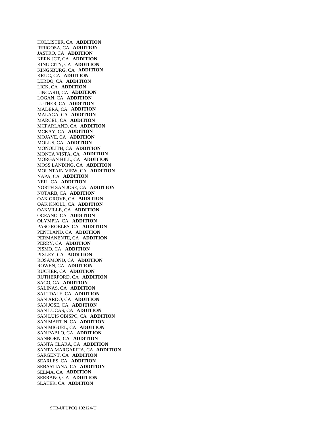HOLLISTER, CA **ADDITION**  IRRIGOSA, CA **ADDITION**  JASTRO, CA **ADDITION**  KERN JCT, CA **ADDITION**  KING CITY, CA **ADDITION**  KINGSBURG, CA **ADDITION**  KRUG, CA **ADDITION**  LERDO, CA **ADDITION**  LICK, CA **ADDITION**  LINGARD, CA **ADDITION**  LOGAN, CA **ADDITION**  LUTHER, CA **ADDITION**  MADERA, CA **ADDITION**  MALAGA, CA **ADDITION**  MARCEL, CA **ADDITION**  MCFARLAND, CA **ADDITION**  MCKAY, CA **ADDITION**  MOJAVE, CA **ADDITION**  MOLUS, CA **ADDITION**  MONOLITH, CA **ADDITION**  MONTA VISTA, CA **ADDITION**  MORGAN HILL, CA **ADDITION**  MOSS LANDING, CA **ADDITION**  MOUNTAIN VIEW, CA **ADDITION**  NAPA, CA **ADDITION**  NEIL, CA **ADDITION**  NORTH SAN JOSE, CA **ADDITION**  NOTARB, CA **ADDITION**  OAK GROVE, CA **ADDITION**  OAK KNOLL, CA **ADDITION**  OAKVILLE, CA **ADDITION**  OCEANO, CA **ADDITION**  OLYMPIA, CA **ADDITION**  PASO ROBLES, CA **ADDITION**  PENTLAND, CA **ADDITION**  PERMANENTE, CA **ADDITION**  PERRY, CA **ADDITION**  PISMO, CA **ADDITION**  PIXLEY, CA **ADDITION**  ROSAMOND, CA **ADDITION**  ROWEN, CA **ADDITION**  RUCKER, CA **ADDITION**  RUTHERFORD, CA **ADDITION**  SACO, CA **ADDITION**  SALINAS, CA **ADDITION**  SALTDALE, CA **ADDITION**  SAN ARDO, CA **ADDITION**  SAN JOSE, CA **ADDITION**  SAN LUCAS, CA **ADDITION**  SAN LUIS OBISPO, CA **ADDITION**  SAN MARTIN, CA **ADDITION**  SAN MIGUEL, CA **ADDITION**  SAN PABLO, CA **ADDITION**  SANBORN, CA **ADDITION**  SANTA CLARA, CA **ADDITION**  SANTA MARGARITA, CA **ADDITION**  SARGENT, CA **ADDITION**  SEARLES, CA **ADDITION**  SEBASTIANA, CA **ADDITION**  SELMA, CA **ADDITION**  SERRANO, CA **ADDITION**  SLATER, CA **ADDITION**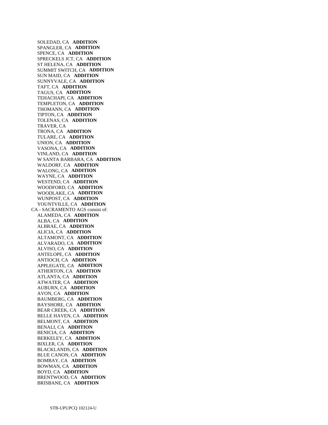SOLEDAD, CA **ADDITION**  SPANGLER, CA **ADDITION**  SPENCE, CA **ADDITION**  SPRECKELS JCT, CA **ADDITION**  ST HELENA, CA **ADDITION**  SUMMIT SWITCH, CA **ADDITION**  SUN MAID, CA **ADDITION**  SUNNYVALE, CA **ADDITION**  TAFT, CA **ADDITION**  TAGUS, CA **ADDITION**  TEHACHAPI, CA **ADDITION**  TEMPLETON, CA **ADDITION**  THOMANN, CA **ADDITION**  TIPTON, CA **ADDITION**  TOLENAS, CA **ADDITION**  TRAVER, CA TRONA, CA **ADDITION**  TULARE, CA **ADDITION**  UNION, CA **ADDITION**  VASONA, CA **ADDITION**  VINLAND, CA **ADDITION**  W SANTA BARBARA, CA **ADDITION**  WALDORF, CA **ADDITION**  WALONG, CA **ADDITION**  WAYNE, CA **ADDITION**  WESTEND, CA **ADDITION**  WOODFORD, CA **ADDITION**  WOODLAKE, CA **ADDITION**  WUNPOST, CA **ADDITION**  YOUNTVILLE, CA **ADDITION**  CA - SACRAMENTO AGS consist of: ALAMEDA, CA **ADDITION**  ALBA, CA **ADDITION**  ALBRAE, CA **ADDITION**  ALICIA, CA **ADDITION**  ALTAMONT, CA **ADDITION**  ALVARADO, CA **ADDITION**  ALVISO, CA **ADDITION**  ANTELOPE, CA **ADDITION**  ANTIOCH, CA **ADDITION**  APPLEGATE, CA **ADDITION**  ATHERTON, CA **ADDITION**  ATLANTA, CA **ADDITION**  ATWATER, CA **ADDITION**  AUBURN, CA **ADDITION**  AVON, CA **ADDITION**  BAUMBERG, CA **ADDITION**  BAYSHORE, CA **ADDITION**  BEAR CREEK, CA **ADDITION**  BELLE HAVEN, CA **ADDITION**  BELMONT, CA **ADDITION**  BENALI, CA **ADDITION**  BENICIA, CA **ADDITION**  BERKELEY, CA **ADDITION**  BIXLER, CA **ADDITION**  BLACKLANDS, CA **ADDITION**  BLUE CANON, CA **ADDITION**  BOMBAY, CA **ADDITION**  BOWMAN, CA **ADDITION**  BOYD, CA **ADDITION**  BRENTWOOD, CA **ADDITION**  BRISBANE, CA **ADDITION**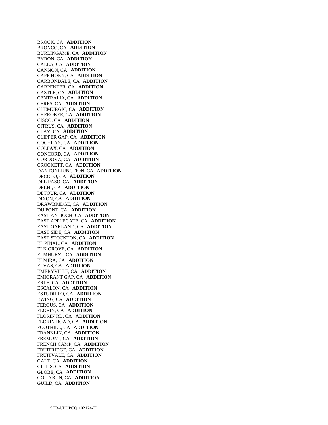BROCK, CA **ADDITION**  BRONCO, CA **ADDITION**  BURLINGAME, CA **ADDITION**  BYRON, CA **ADDITION**  CALLA, CA **ADDITION**  CANNON, CA **ADDITION**  CAPE HORN, CA **ADDITION**  CARBONDALE, CA **ADDITION**  CARPENTER, CA **ADDITION**  CASTLE, CA **ADDITION**  CENTRALIA, CA **ADDITION**  CERES, CA **ADDITION**  CHEMURGIC, CA **ADDITION**  CHEROKEE, CA **ADDITION**  CISCO, CA **ADDITION**  CITRUS, CA **ADDITION**  CLAY, CA **ADDITION**  CLIPPER GAP, CA **ADDITION**  COCHRAN, CA **ADDITION**  COLFAX, CA **ADDITION**  CONCORD, CA **ADDITION**  CORDOVA, CA **ADDITION**  CROCKETT, CA **ADDITION**  DANTONI JUNCTION, CA **ADDITION**  DECOTO, CA **ADDITION**  DEL PASO, CA **ADDITION**  DELHI, CA **ADDITION**  DETOUR, CA **ADDITION**  DIXON, CA **ADDITION**  DRAWBRIDGE, CA **ADDITION**  DU PONT, CA **ADDITION**  EAST ANTIOCH, CA **ADDITION**  EAST APPLEGATE, CA **ADDITION**  EAST OAKLAND, CA **ADDITION**  EAST SIDE, CA **ADDITION**  EAST STOCKTON, CA **ADDITION**  EL PINAL, CA **ADDITION**  ELK GROVE, CA **ADDITION**  ELMHURST, CA **ADDITION**  ELMIRA, CA **ADDITION**  ELVAS, CA **ADDITION**  EMERYVILLE, CA **ADDITION**  EMIGRANT GAP, CA **ADDITION**  ERLE, CA **ADDITION**  ESCALON, CA **ADDITION**  ESTUDILLO, CA **ADDITION**  EWING, CA **ADDITION**  FERGUS, CA **ADDITION**  FLORIN, CA **ADDITION**  FLORIN RD, CA **ADDITION**  FLORIN ROAD, CA **ADDITION**  FOOTHILL, CA **ADDITION**  FRANKLIN, CA **ADDITION**  FREMONT, CA **ADDITION**  FRENCH CAMP, CA **ADDITION**  FRUITRIDGE, CA **ADDITION**  FRUITVALE, CA **ADDITION**  GALT, CA **ADDITION**  GILLIS, CA **ADDITION**  GLOBE, CA **ADDITION**  GOLD RUN, CA **ADDITION**  GUILD, CA **ADDITION**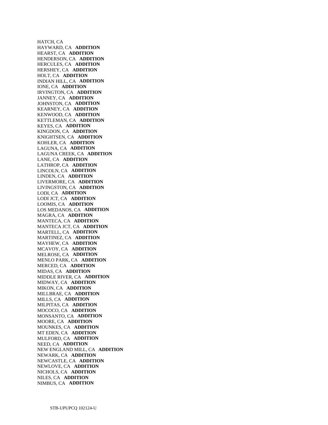HATCH, CA HAYWARD, CA **ADDITION**  HEARST, CA **ADDITION**  HENDERSON, CA **ADDITION**  HERCULES, CA **ADDITION**  HERSHEY, CA **ADDITION**  HOLT, CA **ADDITION**  INDIAN HILL, CA **ADDITION**  IONE, CA **ADDITION**  IRVINGTON, CA **ADDITION**  JANNEY, CA **ADDITION**  JOHNSTON, CA **ADDITION**  KEARNEY, CA **ADDITION**  KENWOOD, CA **ADDITION**  KETTLEMAN, CA **ADDITION**  KEYES, CA **ADDITION**  KINGDON, CA **ADDITION**  KNIGHTSEN, CA **ADDITION**  KOHLER, CA **ADDITION**  LAGUNA, CA **ADDITION**  LAGUNA CREEK, CA **ADDITION**  LANE, CA **ADDITION**  LATHROP, CA **ADDITION**  LINCOLN, CA **ADDITION**  LINDEN, CA **ADDITION**  LIVERMORE, CA **ADDITION**  LIVINGSTON, CA **ADDITION**  LODI, CA **ADDITION**  LODI JCT, CA **ADDITION**  LOOMIS, CA **ADDITION**  LOS MEDANOS, CA **ADDITION**  MAGRA, CA **ADDITION**  MANTECA, CA **ADDITION**  MANTECA JCT, CA **ADDITION**  MARTELL, CA **ADDITION**  MARTINEZ, CA **ADDITION**  MAYHEW, CA **ADDITION**  MCAVOY, CA **ADDITION**  MELROSE, CA **ADDITION**  MENLO PARK, CA **ADDITION**  MERCED, CA **ADDITION**  MIDAS, CA **ADDITION**  MIDDLE RIVER, CA **ADDITION**  MIDWAY, CA **ADDITION**  MIKON, CA **ADDITION**  MILLBRAE, CA **ADDITION**  MILLS, CA **ADDITION**  MILPITAS, CA **ADDITION**  MOCOCO, CA **ADDITION**  MONSANTO, CA **ADDITION**  MOORE, CA **ADDITION**  MOUNKES, CA **ADDITION**  MT EDEN, CA **ADDITION**  MULFORD, CA **ADDITION**  NEED, CA **ADDITION**  NEW ENGLAND MILL, CA **ADDITION**  NEWARK, CA **ADDITION**  NEWCASTLE, CA **ADDITION**  NEWLOVE, CA **ADDITION**  NICHOLS, CA **ADDITION**  NILES, CA **ADDITION**  NIMBUS, CA **ADDITION**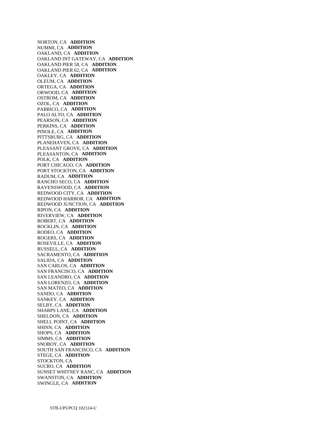NORTON, CA **ADDITION**  NUMMI, CA **ADDITION**  OAKLAND, CA **ADDITION**  OAKLAND INT GATEWAY, CA **ADDITION**  OAKLAND PIER 58, CA **ADDITION**  OAKLAND PIER 62, CA **ADDITION**  OAKLEY, CA **ADDITION**  OLEUM, CA **ADDITION**  ORTEGA, CA **ADDITION**  ORWOOD, CA **ADDITION**  OSTROM, CA **ADDITION**  OZOL, CA **ADDITION**  PABRICO, CA **ADDITION**  PALO ALTO, CA **ADDITION**  PEARSON, CA **ADDITION**  PERKINS, CA **ADDITION**  PINOLE, CA **ADDITION**  PITTSBURG, CA **ADDITION**  PLANEHAVEN, CA **ADDITION**  PLEASANT GROVE, CA **ADDITION**  PLEASANTON, CA **ADDITION**  POLK, CA **ADDITION**  PORT CHICAGO, CA **ADDITION**  PORT STOCKTON, CA **ADDITION**  RADUM, CA **ADDITION**  RANCHO SECO, CA **ADDITION**  RAVENSWOOD, CA **ADDITION**  REDWOOD CITY, CA **ADDITION**  REDWOOD HARBOR, CA **ADDITION**  REDWOOD JUNCTION, CA **ADDITION**  RIPON, CA **ADDITION**  RIVERVIEW, CA **ADDITION**  ROBERT, CA **ADDITION**  ROCKLIN, CA **ADDITION**  RODEO, CA **ADDITION**  ROGERS, CA **ADDITION**  ROSEVILLE, CA **ADDITION**  RUSSELL, CA **ADDITION**  SACRAMENTO, CA **ADDITION**  SALIDA, CA **ADDITION**  SAN CARLOS, CA **ADDITION**  SAN FRANCISCO, CA **ADDITION**  SAN LEANDRO, CA **ADDITION**  SAN LORENZO, CA **ADDITION**  SAN MATEO, CA **ADDITION**  SANDO, CA **ADDITION**  SANKEY, CA **ADDITION**  SELBY, CA **ADDITION**  SHARPS LANE, CA **ADDITION**  SHELDON, CA **ADDITION**  SHELL POINT, CA **ADDITION**  SHINN, CA **ADDITION**  SHOPS, CA **ADDITION**  SIMMS, CA **ADDITION**  SNOBOY, CA **ADDITION**  SOUTH SAN FRANCISCO, CA **ADDITION**  STEGE, CA **ADDITION**  STOCKTON, CA SUCRO, CA **ADDITION**  SUNSET WHITNEY RANC, CA **ADDITION**  SWANSTON, CA **ADDITION**  SWINGLE, CA **ADDITION**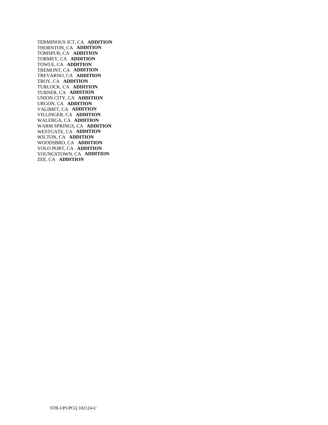TERMINOUS JCT, CA **ADDITION**  THORNTON, CA **ADDITION**  TOMSPUR, CA **ADDITION**  TORMEY, CA **ADDITION**  TOWLE, CA **ADDITION**  TREMONT, CA **ADDITION**  TREVARNO, CA **ADDITION**  TROY, CA **ADDITION**  TURLOCK, CA **ADDITION**  TURNER, CA **ADDITION**  UNION CITY, CA **ADDITION**  URGON, CA **ADDITION**  VALIMET, CA **ADDITION**  VILLINGER, CA **ADDITION**  WALERGA, CA **ADDITION**  WARM SPRINGS, CA **ADDITION**  WESTGATE, CA **ADDITION**  WILTON, CA **ADDITION**  WOODSBRO, CA **ADDITION**  YOLO PORT, CA **ADDITION**  YOUNGSTOWN, CA **ADDITION**  ZEE, CA **ADDITION**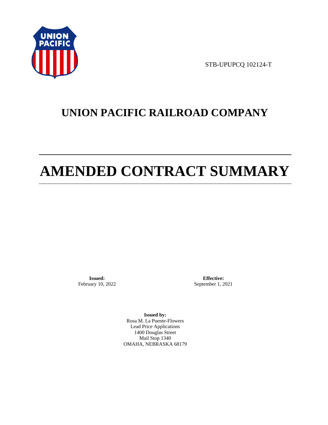

STB-UPUPCQ 102124-T

# **UNION PACIFIC RAILROAD COMPANY**

# **AMENDED CONTRACT SUMMARY**

**Issued:**  February 10, 2022

**Effective:** September 1, 2021

**Issued by:**  Rosa M. La Puente-Flowers Lead Price Applications 1400 Douglas Street Mail Stop 1340 OMAHA, NEBRASKA 68179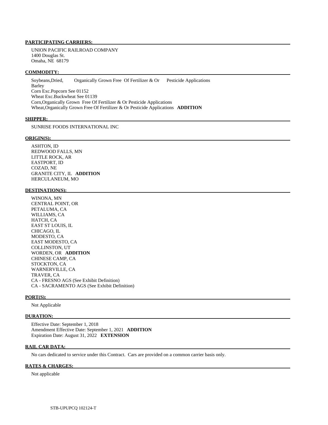#### **PARTICIPATING CARRIERS:**

 UNION PACIFIC RAILROAD COMPANY 1400 Douglas St. Omaha, NE 68179

#### **COMMODITY:**

 Soybeans,Dried, Organically Grown Free Of Fertilizer & Or Pesticide Applications Barley Corn Exc.Popcorn See 01152 Wheat Exc.Buckwheat See 01139 Corn,Organically Grown Free Of Fertilizer & Or Pesticide Applications Wheat,Organically Grown Free Of Fertilizer & Or Pesticide Applications **ADDITION** 

#### **SHIPPER:**

SUNRISE FOODS INTERNATIONAL INC

#### **ORIGIN(S):**

 ASHTON, ID REDWOOD FALLS, MN LITTLE ROCK, AR EASTPORT, ID COZAD, NE GRANITE CITY, IL **ADDITION**  HERCULANEUM, MO

#### **DESTINATION(S):**

 WINONA, MN CENTRAL POINT, OR PETALUMA, CA WILLIAMS, CA HATCH, CA EAST ST LOUIS, IL CHICAGO, IL MODESTO, CA EAST MODESTO, CA COLLINSTON, UT WORDEN, OR **ADDITION**  CHINESE CAMP, CA STOCKTON, CA WARNERVILLE, CA TRAVER, CA CA - FRESNO AGS (See Exhibit Definition) CA - SACRAMENTO AGS (See Exhibit Definition)

#### **PORT(S):**

Not Applicable

#### **DURATION:**

 Effective Date: September 1, 2018 Amendment Effective Date: September 1, 2021 **ADDITION**  Expiration Date: August 31, 2022 **EXTENSION** 

#### **RAIL CAR DATA:**

No cars dedicated to service under this Contract. Cars are provided on a common carrier basis only.

#### **RATES & CHARGES:**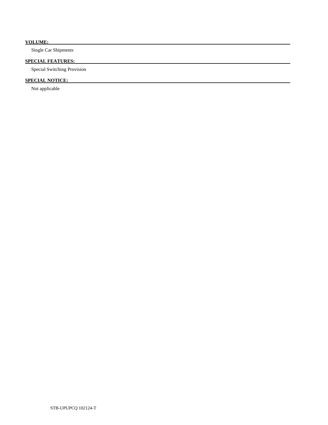### **VOLUME:**

Single Car Shipments

### **SPECIAL FEATURES:**

Special Switching Provision

## **SPECIAL NOTICE:**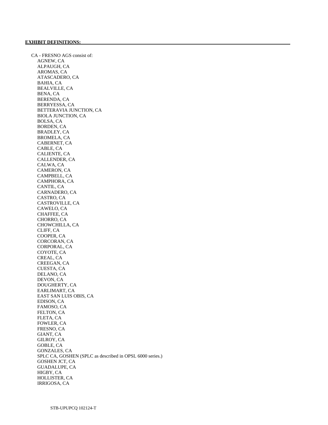CA - FRESNO AGS consist of: AGNEW, CA ALPAUGH, CA AROMAS, CA ATASCADERO, CA BAHIA, CA BEALVILLE, CA BENA, CA BERENDA, CA BERRYESSA, CA BETTERAVIA JUNCTION, CA BIOLA JUNCTION, CA BOLSA, CA BORDEN, CA BRADLEY, CA BROMELA, CA CABERNET, CA CABLE, CA CALIENTE, CA CALLENDER, CA CALWA, CA CAMERON, CA CAMPBELL, CA CAMPHORA, CA CANTIL, CA CARNADERO, CA CASTRO, CA CASTROVILLE, CA CAWELO, CA CHAFFEE, CA CHORRO, CA CHOWCHILLA, CA CLIFF, CA COOPER, CA CORCORAN, CA CORPORAL, CA COYOTE, CA CREAL, CA CREEGAN, CA CUESTA, CA DELANO, CA DEVON, CA DOUGHERTY, CA EARLIMART, CA EAST SAN LUIS OBIS, CA EDISON, CA FAMOSO, CA FELTON, CA FLETA, CA FOWLER, CA FRESNO, CA GIANT, CA GILROY, CA GOBLE, CA GONZALES, CA SPLC CA, GOSHEN (SPLC as described in OPSL 6000 series.) GOSHEN JCT, CA GUADALUPE, CA HIGBY, CA HOLLISTER, CA IRRIGOSA, CA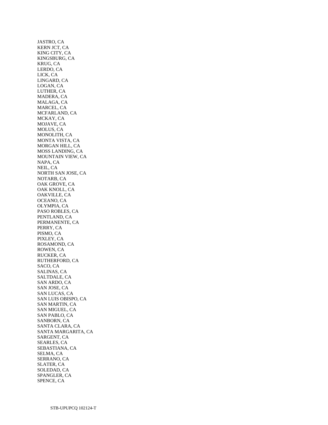JASTRO, CA KERN JCT, CA KING CITY, CA KINGSBURG, CA KRUG, CA LERDO, CA LICK, CA LINGARD, CA LOGAN, CA LUTHER, CA MADERA, CA MALAGA, CA MARCEL, CA MCFARLAND, CA MCKAY, CA MOJAVE, CA MOLUS, CA MONOLITH, CA MONTA VISTA, CA MORGAN HILL, CA MOSS LANDING, CA MOUNTAIN VIEW, CA NAPA, CA NEIL, CA NORTH SAN JOSE, CA NOTARB, CA OAK GROVE, CA OAK KNOLL, CA OAKVILLE, CA OCEANO, CA OLYMPIA, CA PASO ROBLES, CA PENTLAND, CA PERMANENTE, CA PERRY, CA PISMO, CA PIXLEY, CA ROSAMOND, CA ROWEN, CA RUCKER, CA RUTHERFORD, CA SACO, CA SALINAS, CA SALTDALE, CA SAN ARDO, CA SAN JOSE, CA SAN LUCAS, CA SAN LUIS OBISPO, CA SAN MARTIN, CA SAN MIGUEL, CA SAN PABLO, CA SANBORN, CA SANTA CLARA, CA SANTA MARGARITA, CA SARGENT, CA SEARLES, CA SEBASTIANA, CA SELMA, CA SERRANO, CA SLATER, CA SOLEDAD, CA SPANGLER, CA SPENCE, CA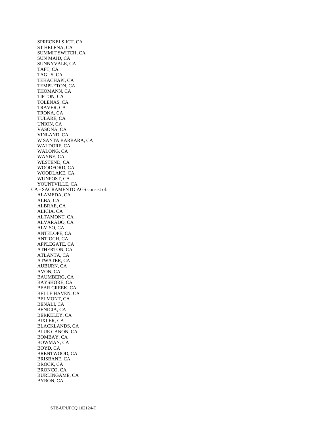SPRECKELS JCT, CA ST HELENA, CA SUMMIT SWITCH, CA SUN MAID, CA SUNNYVALE, CA TAFT, CA TAGUS, CA TEHACHAPI, CA TEMPLETON, CA THOMANN, CA TIPTON, CA TOLENAS, CA TRAVER, CA TRONA, CA TULARE, CA UNION, CA VASONA, CA VINLAND, CA W SANTA BARBARA, CA WALDORF, CA WALONG, CA WAYNE, CA WESTEND, CA WOODFORD, CA WOODLAKE, CA WUNPOST, CA YOUNTVILLE, CA CA - SACRAMENTO AGS consist of: ALAMEDA, CA ALBA, CA ALBRAE, CA ALICIA, CA ALTAMONT, CA ALVARADO, CA ALVISO, CA ANTELOPE, CA ANTIOCH, CA APPLEGATE, CA ATHERTON, CA ATLANTA, CA ATWATER, CA AUBURN, CA AVON, CA BAUMBERG, CA BAYSHORE, CA BEAR CREEK, CA BELLE HAVEN, CA BELMONT, CA BENALI, CA BENICIA, CA BERKELEY, CA BIXLER, CA BLACKLANDS, CA BLUE CANON, CA BOMBAY, CA BOWMAN, CA BOYD, CA BRENTWOOD, CA BRISBANE, CA BROCK, CA BRONCO, CA BURLINGAME, CA BYRON, CA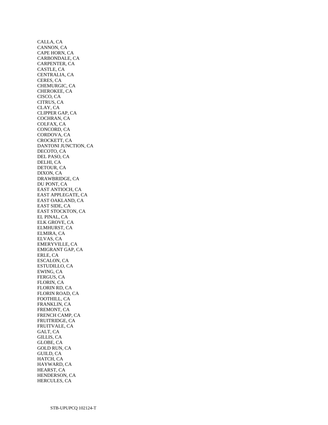CALLA, CA CANNON, CA CAPE HORN, CA CARBONDALE, CA CARPENTER, CA CASTLE, CA CENTRALIA, CA CERES, CA CHEMURGIC, CA CHEROKEE, CA CISCO, CA CITRUS, CA CLAY, CA CLIPPER GAP, CA COCHRAN, CA COLFAX, CA CONCORD, CA CORDOVA, CA CROCKETT, CA DANTONI JUNCTION, CA DECOTO, CA DEL PASO, CA DELHI, CA DETOUR, CA DIXON, CA DRAWBRIDGE, CA DU PONT, CA EAST ANTIOCH, CA EAST APPLEGATE, CA EAST OAKLAND, CA EAST SIDE, CA EAST STOCKTON, CA EL PINAL, CA ELK GROVE, CA ELMHURST, CA ELMIRA, CA ELVAS, CA EMERYVILLE, CA EMIGRANT GAP, CA ERLE, CA ESCALON, CA ESTUDILLO, CA EWING, CA FERGUS, CA FLORIN, CA FLORIN RD, CA FLORIN ROAD, CA FOOTHILL, CA FRANKLIN, CA FREMONT, CA FRENCH CAMP, CA FRUITRIDGE, CA FRUITVALE, CA GALT, CA GILLIS, CA GLOBE, CA GOLD RUN, CA GUILD, CA HATCH, CA HAYWARD, CA HEARST, CA HENDERSON, CA HERCULES, CA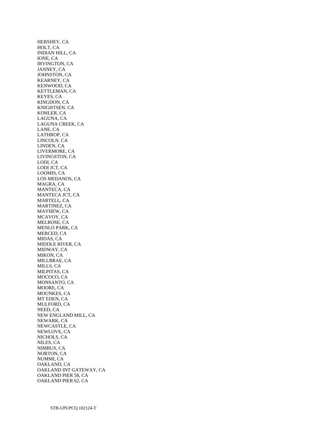HERSHEY, CA HOLT, CA INDIAN HILL, CA IONE, CA IRVINGTON, CA JANNEY, CA JOHNSTON, CA KEARNEY, CA KENWOOD, CA KETTLEMAN, CA KEYES, CA KINGDON, CA KNIGHTSEN, CA KOHLER, CA LAGUNA, CA LAGUNA CREEK, CA LANE, CA LATHROP, CA LINCOLN, CA LINDEN, CA LIVERMORE, CA LIVINGSTON, CA LODI, CA LODI JCT, CA LOOMIS, CA LOS MEDANOS, CA MAGRA, CA MANTECA, CA MANTECA JCT, CA MARTELL, CA MARTINEZ, CA MAYHEW, CA MCAVOY, CA MELROSE, CA MENLO PARK, CA MERCED, CA MIDAS, CA MIDDLE RIVER, CA MIDWAY, CA MIKON, CA MILLBRAE, CA MILLS, CA MILPITAS, CA MOCOCO, CA MONSANTO, CA MOORE, CA MOUNKES, CA MT EDEN, CA MULFORD, CA NEED, CA NEW ENGLAND MILL, CA NEWARK, CA NEWCASTLE, CA NEWLOVE, CA NICHOLS, CA NILES, CA NIMBUS, CA NORTON, CA NUMMI, CA OAKLAND, CA OAKLAND INT GATEWAY, CA OAKLAND PIER 58, CA OAKLAND PIER 62, CA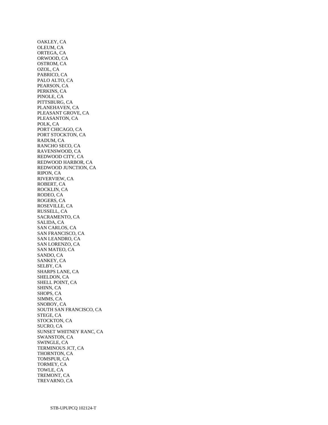OAKLEY, CA OLEUM, CA ORTEGA, CA ORWOOD, CA OSTROM, CA OZOL, CA PABRICO, CA PALO ALTO, CA PEARSON, CA PERKINS, CA PINOLE, CA PITTSBURG, CA PLANEHAVEN, CA PLEASANT GROVE, CA PLEASANTON, CA POLK, CA PORT CHICAGO, CA PORT STOCKTON, CA RADUM, CA RANCHO SECO, CA RAVENSWOOD, CA REDWOOD CITY, CA REDWOOD HARBOR, CA REDWOOD JUNCTION, CA RIPON, CA RIVERVIEW, CA ROBERT, CA ROCKLIN, CA RODEO, CA ROGERS, CA ROSEVILLE, CA RUSSELL, CA SACRAMENTO, CA SALIDA, CA SAN CARLOS, CA SAN FRANCISCO, CA SAN LEANDRO, CA SAN LORENZO, CA SAN MATEO, CA SANDO, CA SANKEY, CA SELBY, CA SHARPS LANE, CA SHELDON, CA SHELL POINT, CA SHINN, CA SHOPS, CA SIMMS, CA SNOBOY, CA SOUTH SAN FRANCISCO, CA STEGE, CA STOCKTON, CA SUCRO, CA SUNSET WHITNEY RANC, CA SWANSTON, CA SWINGLE, CA TERMINOUS JCT, CA THORNTON, CA TOMSPUR, CA TORMEY, CA TOWLE, CA TREMONT, CA TREVARNO, CA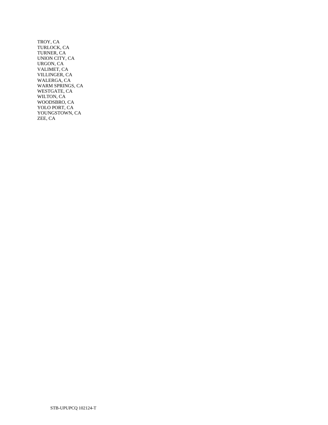TROY, CA TURLOCK, CA TURNER, CA UNION CITY, CA URGON, CA VALIMET, CA VILLINGER, CA WALERGA, CA WARM SPRINGS, CA WESTGATE, CA WILTON, CA WOODSBRO, CA YOLO PORT, CA YOUNGSTOWN, CA ZEE, CA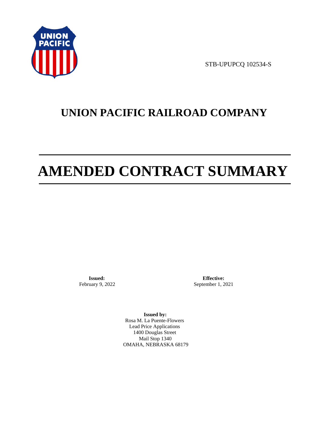

STB-UPUPCQ 102534-S

# **UNION PACIFIC RAILROAD COMPANY**

# **AMENDED CONTRACT SUMMARY**

**Issued:**  February 9, 2022

**Effective:** September 1, 2021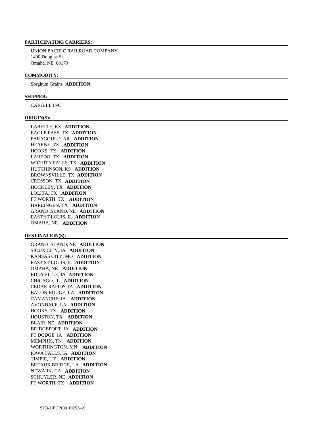UNION PACIFIC RAILROAD COMPANY 1400 Douglas St. Omaha, NE 68179

# **COMMODITY:**

Sorghum Grains **ADDITION** 

# **SHIPPER:**

CARGILL INC

#### **ORIGIN(S):**

 LABETTE, KS **ADDITION**  EAGLE PASS, TX **ADDITION**  PARAGOULD, AR **ADDITION**  HEARNE, TX **ADDITION**  HOOKS, TX **ADDITION**  LAREDO, TX **ADDITION**  WICHITA FALLS, TX **ADDITION**  HUTCHINSON, KS **ADDITION**  BROWNSVILLE, TX **ADDITION**  CRESSON, TX **ADDITION**  HOCKLEY, TX **ADDITION**  LOLITA, TX **ADDITION**  FT WORTH, TX **ADDITION**  HARLINGEN, TX **ADDITION**  GRAND ISLAND, NE **ADDITION**  EAST ST LOUIS, IL **ADDITION**  OMAHA, NE **ADDITION** 

#### **DESTINATION(S):**

 GRAND ISLAND, NE **ADDITION**  SIOUX CITY, IA **ADDITION**  KANSAS CITY, MO **ADDITION**  EAST ST LOUIS, IL **ADDITION**  OMAHA, NE **ADDITION**  EDDYVILLE, IA **ADDITION**  CHICAGO, IL **ADDITION**  CEDAR RAPIDS, IA **ADDITION**  BATON ROUGE, LA **ADDITION**  CAMANCHE, IA **ADDITION**  AVONDALE, LA **ADDITION**  HOOKS, TX **ADDITION**  HOUSTON, TX **ADDITION**  BLAIR, NE **ADDITION**  BRIDGEPORT, IA **ADDITION**  FT DODGE, IA **ADDITION**  MEMPHIS, TN **ADDITION**  WORTHINGTON, MN **ADDITION**  IOWA FALLS, IA **ADDITION**  TIMPIE, UT **ADDITION**  BREAUX BRIDGE, LA **ADDITION**  NEWARK, CA **ADDITION**  SCHUYLER, NE **ADDITION**  FT WORTH, TX **ADDITION**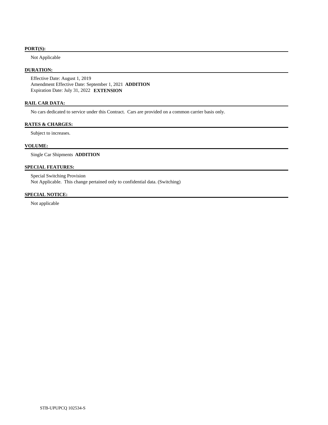# **PORT(S):**

Not Applicable

# **DURATION:**

 Effective Date: August 1, 2019 Amendment Effective Date: September 1, 2021 **ADDITION**  Expiration Date: July 31, 2022 **EXTENSION** 

### **RAIL CAR DATA:**

No cars dedicated to service under this Contract. Cars are provided on a common carrier basis only.

# **RATES & CHARGES:**

Subject to increases.

# **VOLUME:**

Single Car Shipments **ADDITION** 

# **SPECIAL FEATURES:**

 Special Switching Provision Not Applicable. This change pertained only to confidential data. (Switching)

# **SPECIAL NOTICE:**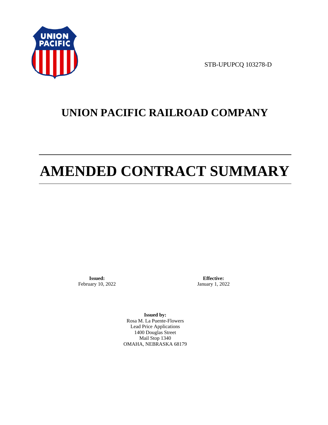

STB-UPUPCQ 103278-D

# **UNION PACIFIC RAILROAD COMPANY**

# **AMENDED CONTRACT SUMMARY**

**Issued:**  February 10, 2022

**Effective:** January 1, 2022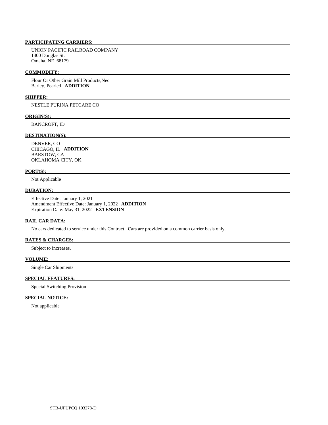UNION PACIFIC RAILROAD COMPANY 1400 Douglas St. Omaha, NE 68179

#### **COMMODITY:**

 Flour Or Other Grain Mill Products,Nec Barley, Pearled **ADDITION** 

# **SHIPPER:**

NESTLE PURINA PETCARE CO

#### **ORIGIN(S):**

BANCROFT, ID

#### **DESTINATION(S):**

 DENVER, CO CHICAGO, IL **ADDITION**  BARSTOW, CA OKLAHOMA CITY, OK

#### **PORT(S):**

Not Applicable

# **DURATION:**

 Effective Date: January 1, 2021 Amendment Effective Date: January 1, 2022 **ADDITION**  Expiration Date: May 31, 2022 **EXTENSION** 

### **RAIL CAR DATA:**

No cars dedicated to service under this Contract. Cars are provided on a common carrier basis only.

# **RATES & CHARGES:**

Subject to increases.

#### **VOLUME:**

Single Car Shipments

#### **SPECIAL FEATURES:**

Special Switching Provision

# **SPECIAL NOTICE:**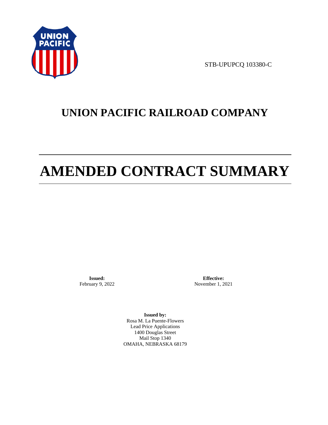

STB-UPUPCQ 103380-C

# **UNION PACIFIC RAILROAD COMPANY**

# **AMENDED CONTRACT SUMMARY**

**Issued:**  February 9, 2022

**Effective:** November 1, 2021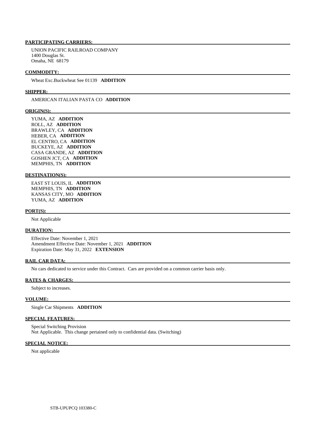UNION PACIFIC RAILROAD COMPANY 1400 Douglas St. Omaha, NE 68179

#### **COMMODITY:**

Wheat Exc.Buckwheat See 01139 **ADDITION** 

#### **SHIPPER:**

# AMERICAN ITALIAN PASTA CO **ADDITION**

#### **ORIGIN(S):**

 YUMA, AZ **ADDITION**  ROLL, AZ **ADDITION**  BRAWLEY, CA **ADDITION**  HEBER, CA **ADDITION**  EL CENTRO, CA **ADDITION**  BUCKEYE, AZ **ADDITION**  CASA GRANDE, AZ **ADDITION**  GOSHEN JCT, CA **ADDITION**  MEMPHIS, TN **ADDITION** 

# **DESTINATION(S):**

 EAST ST LOUIS, IL **ADDITION**  MEMPHIS, TN **ADDITION**  KANSAS CITY, MO **ADDITION**  YUMA, AZ **ADDITION** 

#### **PORT(S):**

Not Applicable

#### **DURATION:**

 Effective Date: November 1, 2021 Amendment Effective Date: November 1, 2021 **ADDITION**  Expiration Date: May 31, 2022 **EXTENSION** 

#### **RAIL CAR DATA:**

No cars dedicated to service under this Contract. Cars are provided on a common carrier basis only.

#### **RATES & CHARGES:**

Subject to increases.

# **VOLUME:**

Single Car Shipments **ADDITION** 

# **SPECIAL FEATURES:**

 Special Switching Provision Not Applicable. This change pertained only to confidential data. (Switching)

# **SPECIAL NOTICE:**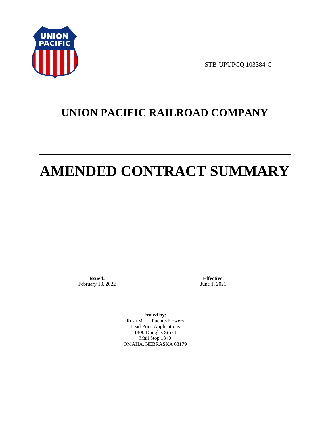

STB-UPUPCQ 103384-C

# **UNION PACIFIC RAILROAD COMPANY**

# **AMENDED CONTRACT SUMMARY**

**Issued:**  February 10, 2022

**Effective:** June 1, 2021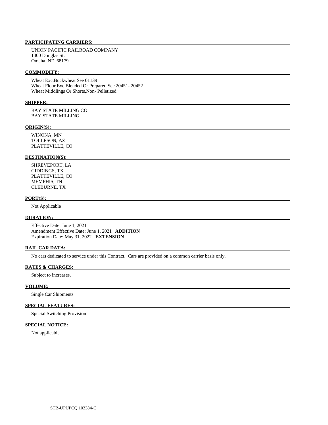UNION PACIFIC RAILROAD COMPANY 1400 Douglas St. Omaha, NE 68179

#### **COMMODITY:**

 Wheat Exc.Buckwheat See 01139 Wheat Flour Exc.Blended Or Prepared See 20451- 20452 Wheat Middlings Or Shorts,Non- Pelletized

#### **SHIPPER:**

 BAY STATE MILLING CO BAY STATE MILLING

#### **ORIGIN(S):**

 WINONA, MN TOLLESON, AZ PLATTEVILLE, CO

#### **DESTINATION(S):**

 SHREVEPORT, LA GIDDINGS, TX PLATTEVILLE, CO MEMPHIS, TN CLEBURNE, TX

#### **PORT(S):**

Not Applicable

# **DURATION:**

 Effective Date: June 1, 2021 Amendment Effective Date: June 1, 2021 **ADDITION**  Expiration Date: May 31, 2022 **EXTENSION** 

#### **RAIL CAR DATA:**

No cars dedicated to service under this Contract. Cars are provided on a common carrier basis only.

# **RATES & CHARGES:**

Subject to increases.

### **VOLUME:**

Single Car Shipments

# **SPECIAL FEATURES:**

Special Switching Provision

# **SPECIAL NOTICE:**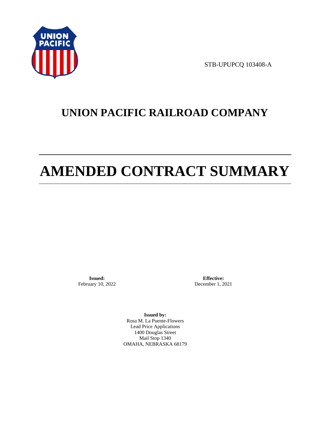

STB-UPUPCQ 103408-A

# **UNION PACIFIC RAILROAD COMPANY**

# **AMENDED CONTRACT SUMMARY**

**Issued:**  February 10, 2022

**Effective:** December 1, 2021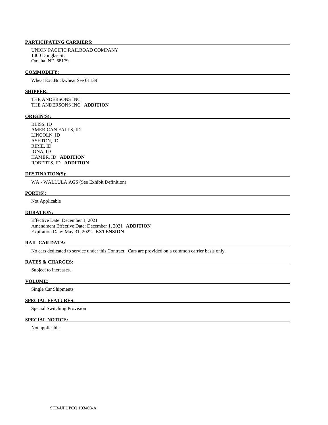UNION PACIFIC RAILROAD COMPANY 1400 Douglas St. Omaha, NE 68179

#### **COMMODITY:**

Wheat Exc.Buckwheat See 01139

#### **SHIPPER:**

 THE ANDERSONS INC THE ANDERSONS INC **ADDITION** 

#### **ORIGIN(S):**

 BLISS, ID AMERICAN FALLS, ID LINCOLN, ID ASHTON, ID RIRIE, ID IONA, ID HAMER, ID **ADDITION**  ROBERTS, ID **ADDITION** 

#### **DESTINATION(S):**

WA - WALLULA AGS (See Exhibit Definition)

#### **PORT(S):**

Not Applicable

#### **DURATION:**

 Effective Date: December 1, 2021 Amendment Effective Date: December 1, 2021 **ADDITION**  Expiration Date: May 31, 2022 **EXTENSION** 

# **RAIL CAR DATA:**

No cars dedicated to service under this Contract. Cars are provided on a common carrier basis only.

### **RATES & CHARGES:**

Subject to increases.

# **VOLUME:**

Single Car Shipments

# **SPECIAL FEATURES:**

Special Switching Provision

# **SPECIAL NOTICE:**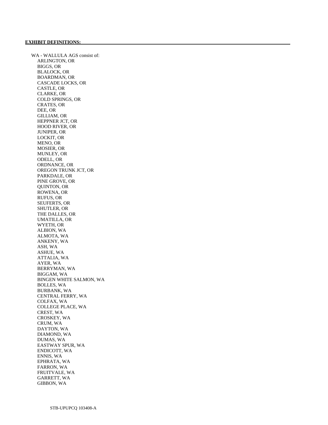WA - WALLULA AGS consist of: ARLINGTON, OR BIGGS, OR BLALOCK, OR BOARDMAN, OR CASCADE LOCKS, OR CASTLE, OR CLARKE, OR COLD SPRINGS, OR CRATES, OR DEE, OR GILLIAM, OR HEPPNER JCT, OR HOOD RIVER, OR JUNIPER, OR LOCKIT, OR MENO, OR MOSIER, OR MUNLEY, OR ODELL, OR ORDNANCE, OR OREGON TRUNK JCT, OR PARKDALE, OR PINE GROVE, OR QUINTON, OR ROWENA, OR RUFUS, OR SEUFERTS, OR SHUTLER, OR THE DALLES, OR UMATILLA, OR WYETH, OR ALBION, WA ALMOTA, WA ANKENY, WA ASH, WA ASHUE, WA ATTALIA, WA AYER, WA BERRYMAN, WA BIGGAM, WA BINGEN WHITE SALMON, WA BOLLES, WA BURBANK, WA CENTRAL FERRY, WA COLFAX, WA COLLEGE PLACE, WA CREST, WA CROSKEY, WA CRUM, WA DAYTON, WA DIAMOND, WA DUMAS, WA EASTWAY SPUR, WA ENDICOTT, WA ENNIS, WA EPHRATA, WA FARRON, WA FRUITVALE, WA GARRETT, WA GIBBON, WA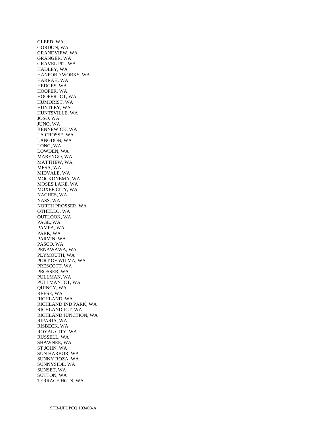GLEED, WA GORDON, WA GRANDVIEW, WA GRANGER, WA GRAVEL PIT, WA HADLEY, WA HANFORD WORKS, WA HARRAH, WA HEDGES, WA HOOPER, WA HOOPER JCT, WA HUMORIST, WA HUNTLEY, WA HUNTSVILLE, WA JOSO, WA JUNO, WA KENNEWICK, WA LA CROSSE, WA LANGDON, WA LONG, WA LOWDEN, WA MARENGO, WA MATTHEW, WA MESA, WA MIDVALE, WA MOCKONEMA, WA MOSES LAKE, WA MOXEE CITY, WA NACHES, WA NASS, WA NORTH PROSSER, WA OTHELLO, WA OUTLOOK, WA PAGE, WA PAMPA, WA PARK, WA PARVIN, WA PASCO, WA PENAWAWA, WA PLYMOUTH, WA PORT OF WILMA, WA PRESCOTT, WA PROSSER, WA PULLMAN, WA PULLMAN JCT, WA QUINCY, WA REESE, WA RICHLAND, WA RICHLAND IND PARK, WA RICHLAND JCT, WA RICHLAND JUNCTION, WA RIPARIA, WA RISBECK, WA ROYAL CITY, WA RUSSELL, WA SHAWNEE, WA ST JOHN, WA SUN HARBOR, WA SUNNY ROZA, WA SUNNYSIDE, WA SUNSET, WA SUTTON, WA TERRACE HGTS, WA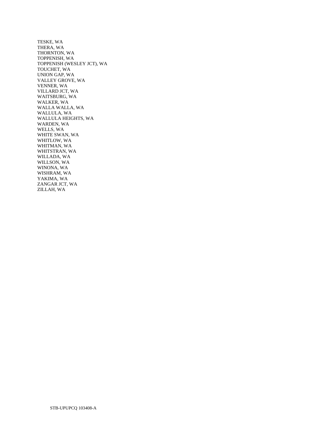TESKE, WA THERA, WA THORNTON, WA TOPPENISH, WA TOPPENISH (WESLEY JCT), WA TOUCHET, WA UNION GAP, WA VALLEY GROVE, WA VENNER, WA VILLARD JCT, WA WAITSBURG, WA WALKER, WA WALLA WALLA, WA WALLULA, WA WALLULA HEIGHTS, WA WARDEN, WA WELLS, WA WHITE SWAN, WA WHITLOW, WA WHITMAN, WA WHITSTRAN, WA WILLADA, WA WILLSON, WA WINONA, WA WISHRAM, WA YAKIMA, WA ZANGAR JCT, WA ZILLAH, WA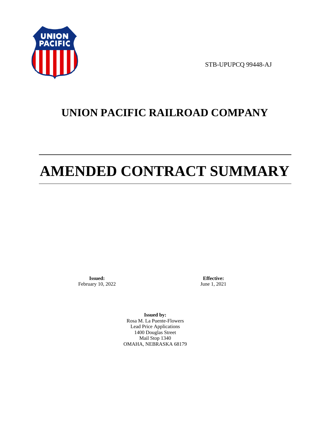

STB-UPUPCQ 99448-AJ

# **UNION PACIFIC RAILROAD COMPANY**

# **AMENDED CONTRACT SUMMARY**

**Issued:**  February 10, 2022

**Effective:** June 1, 2021